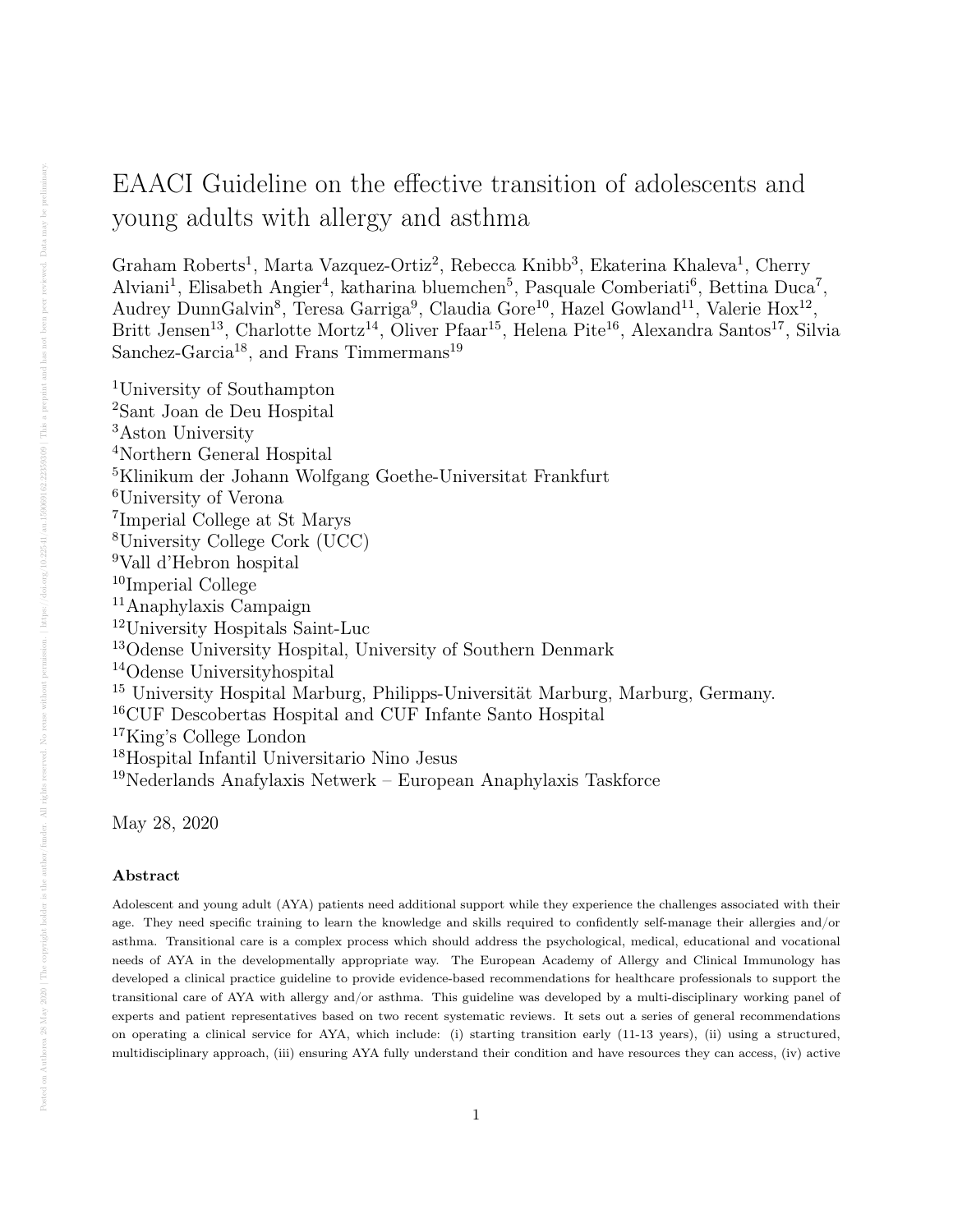# EAACI Guideline on the effective transition of adolescents and young adults with allergy and asthma

Graham Roberts<sup>1</sup>, Marta Vazquez-Ortiz<sup>2</sup>, Rebecca Knibb<sup>3</sup>, Ekaterina Khaleva<sup>1</sup>, Cherry Alviani<sup>1</sup>, Elisabeth Angier<sup>4</sup>, katharina bluemchen<sup>5</sup>, Pasquale Comberiati<sup>6</sup>, Bettina Duca<sup>7</sup>, Audrey DunnGalvin<sup>8</sup>, Teresa Garriga<sup>9</sup>, Claudia Gore<sup>10</sup>, Hazel Gowland<sup>11</sup>, Valerie Hox<sup>12</sup>, Britt Jensen<sup>13</sup>, Charlotte Mortz<sup>14</sup>, Oliver Pfaar<sup>15</sup>, Helena Pite<sup>16</sup>, Alexandra Santos<sup>17</sup>, Silvia Sanchez-Garcia<sup>18</sup>, and Frans Timmermans<sup>19</sup>

University of Southampton Sant Joan de Deu Hospital Aston University Northern General Hospital Klinikum der Johann Wolfgang Goethe-Universitat Frankfurt University of Verona Imperial College at St Marys University College Cork (UCC) Vall d'Hebron hospital <sup>10</sup>Imperial College Anaphylaxis Campaign University Hospitals Saint-Luc Odense University Hospital, University of Southern Denmark Odense Universityhospital University Hospital Marburg, Philipps-Universität Marburg, Marburg, Germany. CUF Descobertas Hospital and CUF Infante Santo Hospital King's College London Hospital Infantil Universitario Nino Jesus Nederlands Anafylaxis Netwerk – European Anaphylaxis Taskforce

May 28, 2020

### Abstract

Adolescent and young adult (AYA) patients need additional support while they experience the challenges associated with their age. They need specific training to learn the knowledge and skills required to confidently self-manage their allergies and/or asthma. Transitional care is a complex process which should address the psychological, medical, educational and vocational needs of AYA in the developmentally appropriate way. The European Academy of Allergy and Clinical Immunology has developed a clinical practice guideline to provide evidence-based recommendations for healthcare professionals to support the transitional care of AYA with allergy and/or asthma. This guideline was developed by a multi-disciplinary working panel of experts and patient representatives based on two recent systematic reviews. It sets out a series of general recommendations on operating a clinical service for AYA, which include: (i) starting transition early (11-13 years), (ii) using a structured, multidisciplinary approach, (iii) ensuring AYA fully understand their condition and have resources they can access, (iv) active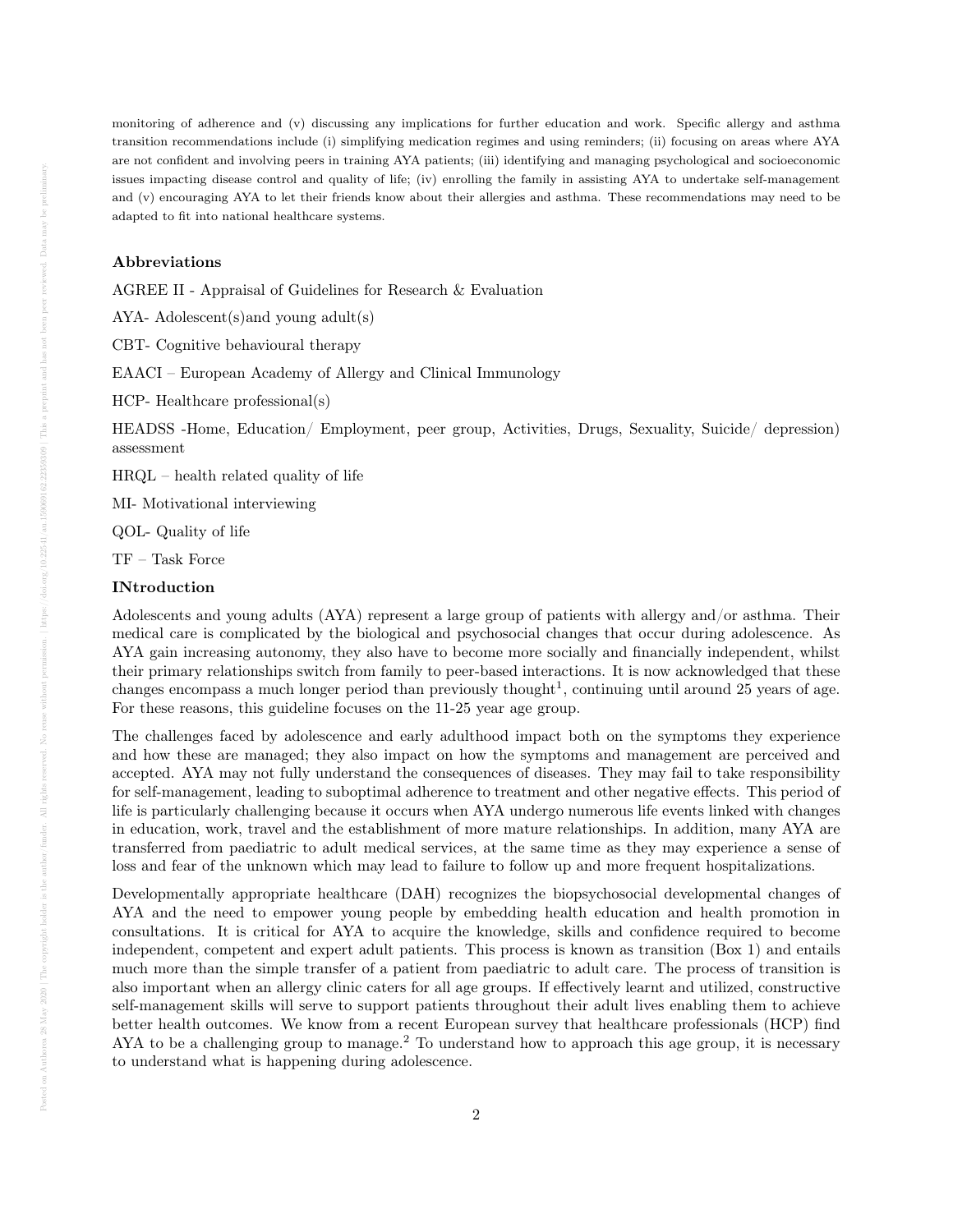monitoring of adherence and (v) discussing any implications for further education and work. Specific allergy and asthma transition recommendations include (i) simplifying medication regimes and using reminders; (ii) focusing on areas where AYA are not confident and involving peers in training AYA patients; (iii) identifying and managing psychological and socioeconomic issues impacting disease control and quality of life; (iv) enrolling the family in assisting AYA to undertake self-management and (v) encouraging AYA to let their friends know about their allergies and asthma. These recommendations may need to be adapted to fit into national healthcare systems.

#### Abbreviations

AGREE II - Appraisal of Guidelines for Research & Evaluation

AYA- Adolescent(s)and young adult(s)

CBT- Cognitive behavioural therapy

EAACI – European Academy of Allergy and Clinical Immunology

HCP- Healthcare professional(s)

HEADSS -Home, Education/ Employment, peer group, Activities, Drugs, Sexuality, Suicide/ depression) assessment

HRQL – health related quality of life

MI- Motivational interviewing

QOL- Quality of life

TF – Task Force

### INtroduction

Adolescents and young adults (AYA) represent a large group of patients with allergy and/or asthma. Their medical care is complicated by the biological and psychosocial changes that occur during adolescence. As AYA gain increasing autonomy, they also have to become more socially and financially independent, whilst their primary relationships switch from family to peer-based interactions. It is now acknowledged that these changes encompass a much longer period than previously thought<sup>1</sup>, continuing until around 25 years of age. For these reasons, this guideline focuses on the 11-25 year age group.

The challenges faced by adolescence and early adulthood impact both on the symptoms they experience and how these are managed; they also impact on how the symptoms and management are perceived and accepted. AYA may not fully understand the consequences of diseases. They may fail to take responsibility for self-management, leading to suboptimal adherence to treatment and other negative effects. This period of life is particularly challenging because it occurs when AYA undergo numerous life events linked with changes in education, work, travel and the establishment of more mature relationships. In addition, many AYA are transferred from paediatric to adult medical services, at the same time as they may experience a sense of loss and fear of the unknown which may lead to failure to follow up and more frequent hospitalizations.

Developmentally appropriate healthcare (DAH) recognizes the biopsychosocial developmental changes of AYA and the need to empower young people by embedding health education and health promotion in consultations. It is critical for AYA to acquire the knowledge, skills and confidence required to become independent, competent and expert adult patients. This process is known as transition (Box 1) and entails much more than the simple transfer of a patient from paediatric to adult care. The process of transition is also important when an allergy clinic caters for all age groups. If effectively learnt and utilized, constructive self-management skills will serve to support patients throughout their adult lives enabling them to achieve better health outcomes. We know from a recent European survey that healthcare professionals (HCP) find AYA to be a challenging group to manage.<sup>2</sup> To understand how to approach this age group, it is necessary to understand what is happening during adolescence.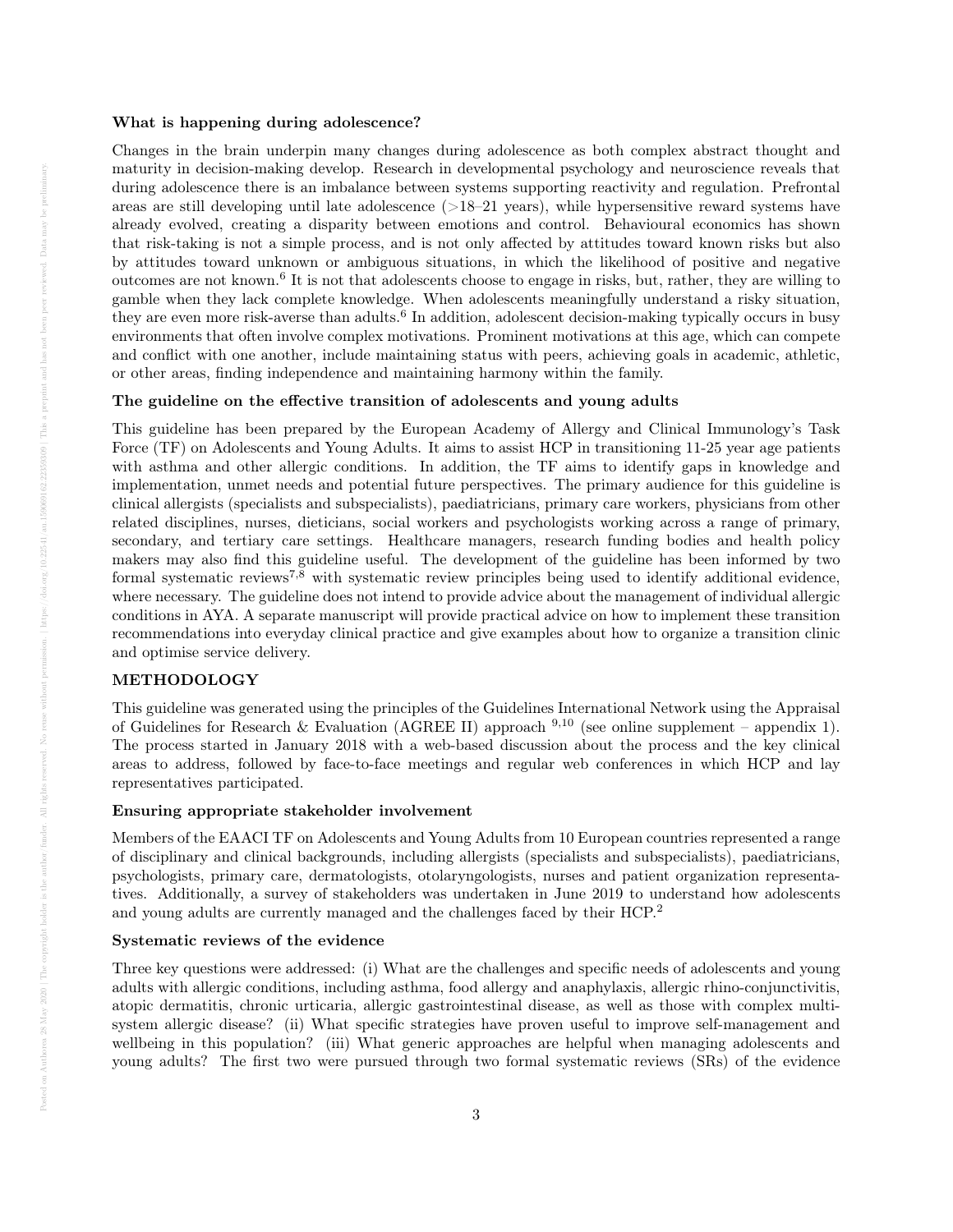#### What is happening during adolescence?

Changes in the brain underpin many changes during adolescence as both complex abstract thought and maturity in decision-making develop. Research in developmental psychology and neuroscience reveals that during adolescence there is an imbalance between systems supporting reactivity and regulation. Prefrontal areas are still developing until late adolescence  $(>18–21 \text{ years})$ , while hypersensitive reward systems have already evolved, creating a disparity between emotions and control. Behavioural economics has shown that risk-taking is not a simple process, and is not only affected by attitudes toward known risks but also by attitudes toward unknown or ambiguous situations, in which the likelihood of positive and negative outcomes are not known.<sup>6</sup> It is not that adolescents choose to engage in risks, but, rather, they are willing to gamble when they lack complete knowledge. When adolescents meaningfully understand a risky situation, they are even more risk-averse than adults.<sup>6</sup> In addition, adolescent decision-making typically occurs in busy environments that often involve complex motivations. Prominent motivations at this age, which can compete and conflict with one another, include maintaining status with peers, achieving goals in academic, athletic, or other areas, finding independence and maintaining harmony within the family.

### The guideline on the effective transition of adolescents and young adults

This guideline has been prepared by the European Academy of Allergy and Clinical Immunology's Task Force (TF) on Adolescents and Young Adults. It aims to assist HCP in transitioning 11-25 year age patients with asthma and other allergic conditions. In addition, the TF aims to identify gaps in knowledge and implementation, unmet needs and potential future perspectives. The primary audience for this guideline is clinical allergists (specialists and subspecialists), paediatricians, primary care workers, physicians from other related disciplines, nurses, dieticians, social workers and psychologists working across a range of primary, secondary, and tertiary care settings. Healthcare managers, research funding bodies and health policy makers may also find this guideline useful. The development of the guideline has been informed by two formal systematic reviews<sup>7,8</sup> with systematic review principles being used to identify additional evidence, where necessary. The guideline does not intend to provide advice about the management of individual allergic conditions in AYA. A separate manuscript will provide practical advice on how to implement these transition recommendations into everyday clinical practice and give examples about how to organize a transition clinic and optimise service delivery.

# METHODOLOGY

This guideline was generated using the principles of the Guidelines International Network using the Appraisal of Guidelines for Research & Evaluation (AGREE II) approach  $9,10$  (see online supplement – appendix 1). The process started in January 2018 with a web-based discussion about the process and the key clinical areas to address, followed by face-to-face meetings and regular web conferences in which HCP and lay representatives participated.

### Ensuring appropriate stakeholder involvement

Members of the EAACI TF on Adolescents and Young Adults from 10 European countries represented a range of disciplinary and clinical backgrounds, including allergists (specialists and subspecialists), paediatricians, psychologists, primary care, dermatologists, otolaryngologists, nurses and patient organization representatives. Additionally, a survey of stakeholders was undertaken in June 2019 to understand how adolescents and young adults are currently managed and the challenges faced by their HCP.<sup>2</sup>

# Systematic reviews of the evidence

Three key questions were addressed: (i) What are the challenges and specific needs of adolescents and young adults with allergic conditions, including asthma, food allergy and anaphylaxis, allergic rhino-conjunctivitis, atopic dermatitis, chronic urticaria, allergic gastrointestinal disease, as well as those with complex multisystem allergic disease? (ii) What specific strategies have proven useful to improve self-management and wellbeing in this population? (iii) What generic approaches are helpful when managing adolescents and young adults? The first two were pursued through two formal systematic reviews (SRs) of the evidence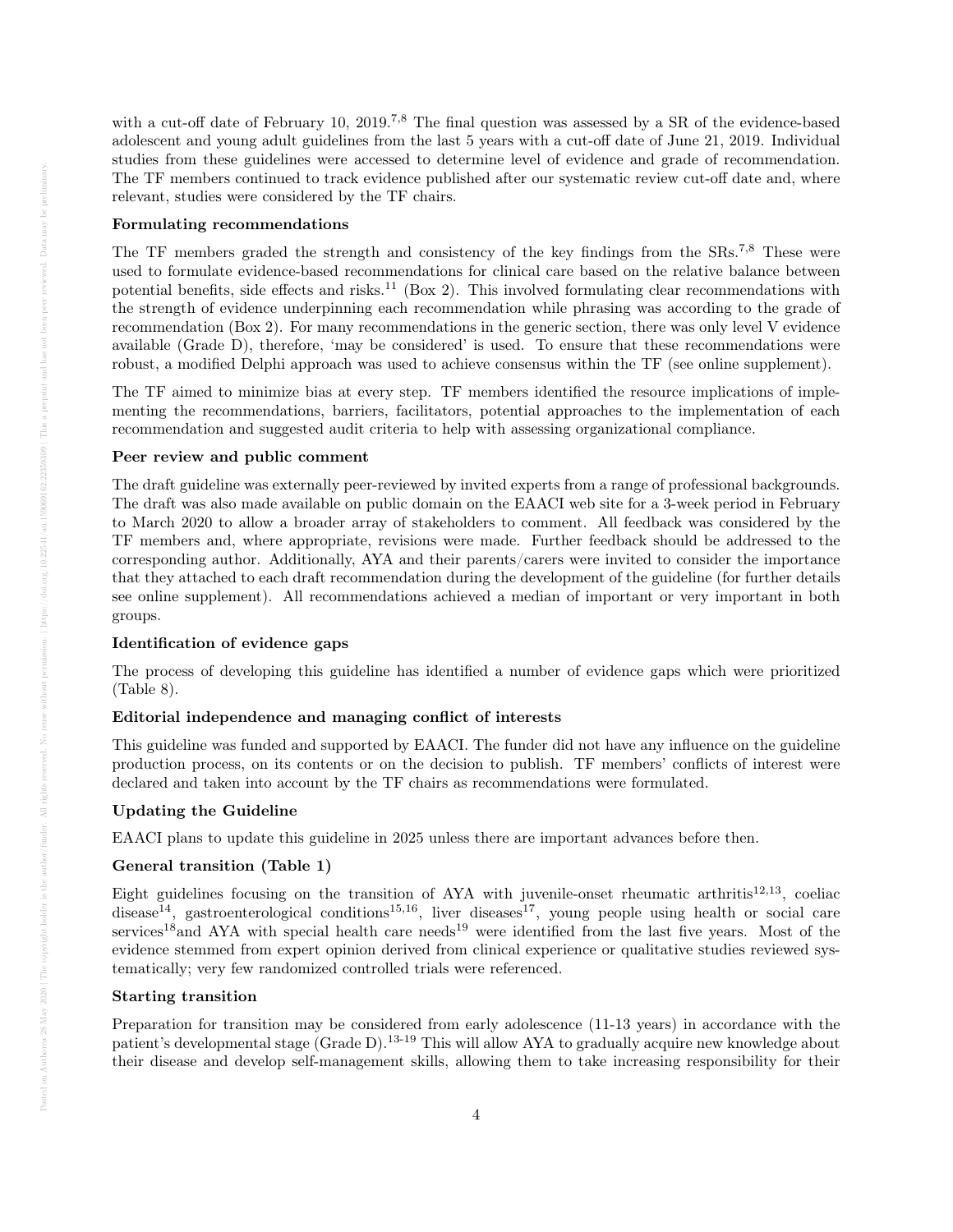with a cut-off date of February 10, 2019.<sup>7,8</sup> The final question was assessed by a SR of the evidence-based adolescent and young adult guidelines from the last 5 years with a cut-off date of June 21, 2019. Individual studies from these guidelines were accessed to determine level of evidence and grade of recommendation. The TF members continued to track evidence published after our systematic review cut-off date and, where relevant, studies were considered by the TF chairs.

### Formulating recommendations

The TF members graded the strength and consistency of the key findings from the SRs.<sup>7,8</sup> These were used to formulate evidence-based recommendations for clinical care based on the relative balance between potential benefits, side effects and risks.<sup>11</sup> (Box 2). This involved formulating clear recommendations with the strength of evidence underpinning each recommendation while phrasing was according to the grade of recommendation (Box 2). For many recommendations in the generic section, there was only level V evidence available (Grade D), therefore, 'may be considered' is used. To ensure that these recommendations were robust, a modified Delphi approach was used to achieve consensus within the TF (see online supplement).

The TF aimed to minimize bias at every step. TF members identified the resource implications of implementing the recommendations, barriers, facilitators, potential approaches to the implementation of each recommendation and suggested audit criteria to help with assessing organizational compliance.

#### Peer review and public comment

The draft guideline was externally peer-reviewed by invited experts from a range of professional backgrounds. The draft was also made available on public domain on the EAACI web site for a 3-week period in February to March 2020 to allow a broader array of stakeholders to comment. All feedback was considered by the TF members and, where appropriate, revisions were made. Further feedback should be addressed to the corresponding author. Additionally, AYA and their parents/carers were invited to consider the importance that they attached to each draft recommendation during the development of the guideline (for further details see online supplement). All recommendations achieved a median of important or very important in both groups.

### Identification of evidence gaps

The process of developing this guideline has identified a number of evidence gaps which were prioritized (Table 8).

### Editorial independence and managing conflict of interests

This guideline was funded and supported by EAACI. The funder did not have any influence on the guideline production process, on its contents or on the decision to publish. TF members' conflicts of interest were declared and taken into account by the TF chairs as recommendations were formulated.

### Updating the Guideline

EAACI plans to update this guideline in 2025 unless there are important advances before then.

### General transition (Table 1)

Eight guidelines focusing on the transition of AYA with juvenile-onset rheumatic arthritis<sup>12,13</sup>, coeliac disease<sup>14</sup>, gastroenterological conditions<sup>15,16</sup>, liver diseases<sup>17</sup>, young people using health or social care services<sup>18</sup> and AYA with special health care needs<sup>19</sup> were identified from the last five years. Most of the evidence stemmed from expert opinion derived from clinical experience or qualitative studies reviewed systematically; very few randomized controlled trials were referenced.

### Starting transition

Preparation for transition may be considered from early adolescence (11-13 years) in accordance with the patient's developmental stage (Grade D).13-19 This will allow AYA to gradually acquire new knowledge about their disease and develop self-management skills, allowing them to take increasing responsibility for their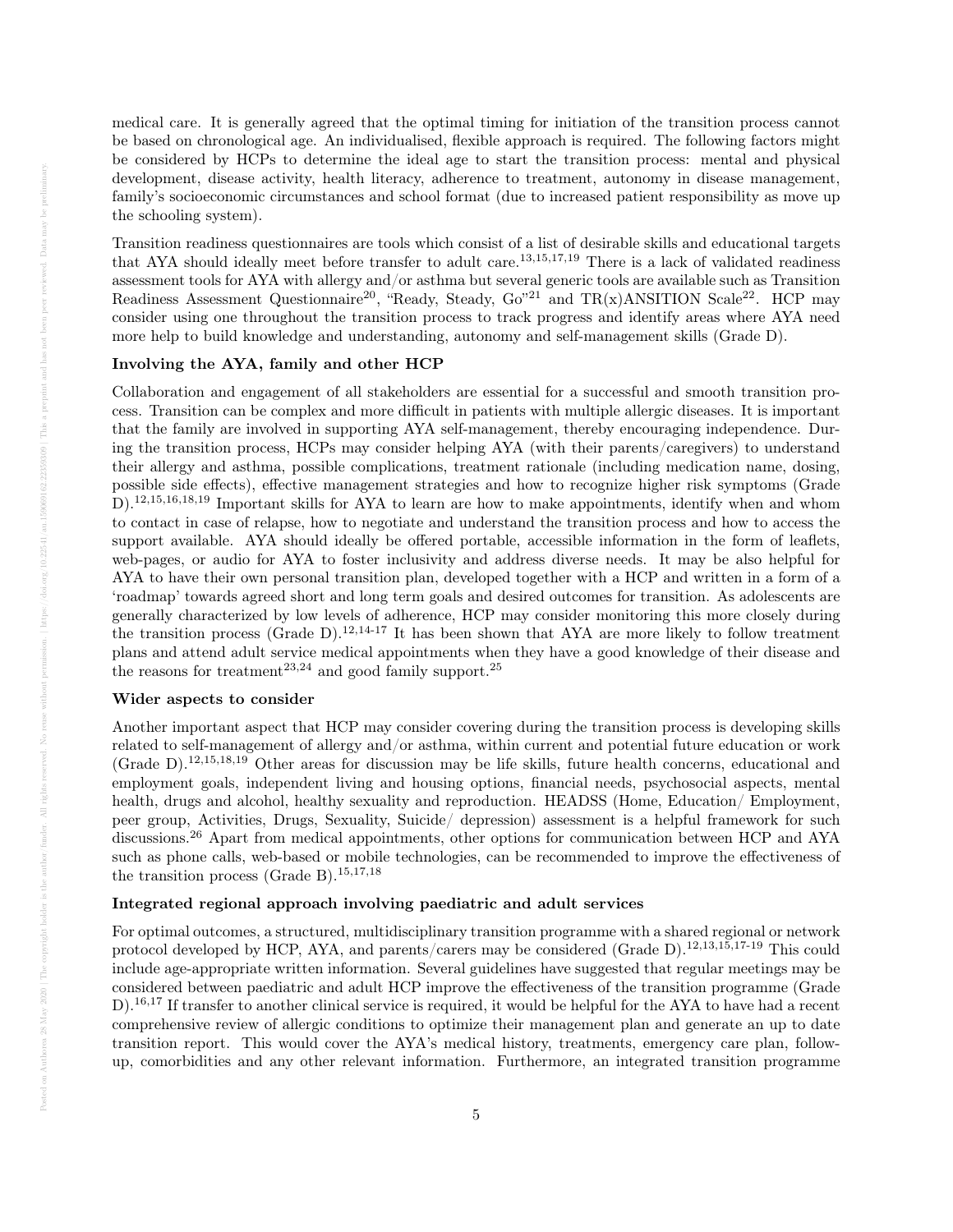medical care. It is generally agreed that the optimal timing for initiation of the transition process cannot be based on chronological age. An individualised, flexible approach is required. The following factors might be considered by HCPs to determine the ideal age to start the transition process: mental and physical development, disease activity, health literacy, adherence to treatment, autonomy in disease management, family's socioeconomic circumstances and school format (due to increased patient responsibility as move up the schooling system).

Transition readiness questionnaires are tools which consist of a list of desirable skills and educational targets that AYA should ideally meet before transfer to adult care.<sup>13,15,17,19</sup> There is a lack of validated readiness assessment tools for AYA with allergy and/or asthma but several generic tools are available such as Transition Readiness Assessment Questionnaire<sup>20</sup>, "Ready, Steady, Go"<sup>21</sup> and TR(x)ANSITION Scale<sup>22</sup>. HCP may consider using one throughout the transition process to track progress and identify areas where AYA need more help to build knowledge and understanding, autonomy and self-management skills (Grade D).

#### Involving the AYA, family and other HCP

Collaboration and engagement of all stakeholders are essential for a successful and smooth transition process. Transition can be complex and more difficult in patients with multiple allergic diseases. It is important that the family are involved in supporting AYA self-management, thereby encouraging independence. During the transition process, HCPs may consider helping AYA (with their parents/caregivers) to understand their allergy and asthma, possible complications, treatment rationale (including medication name, dosing, possible side effects), effective management strategies and how to recognize higher risk symptoms (Grade D).12,15,16,18,19 Important skills for AYA to learn are how to make appointments, identify when and whom to contact in case of relapse, how to negotiate and understand the transition process and how to access the support available. AYA should ideally be offered portable, accessible information in the form of leaflets, web-pages, or audio for AYA to foster inclusivity and address diverse needs. It may be also helpful for AYA to have their own personal transition plan, developed together with a HCP and written in a form of a 'roadmap' towards agreed short and long term goals and desired outcomes for transition. As adolescents are generally characterized by low levels of adherence, HCP may consider monitoring this more closely during the transition process (Grade D).<sup>12,14-17</sup> It has been shown that AYA are more likely to follow treatment plans and attend adult service medical appointments when they have a good knowledge of their disease and the reasons for treatment<sup>23,24</sup> and good family support.<sup>25</sup>

### Wider aspects to consider

Another important aspect that HCP may consider covering during the transition process is developing skills related to self-management of allergy and/or asthma, within current and potential future education or work (Grade D).12,15,18,19 Other areas for discussion may be life skills, future health concerns, educational and employment goals, independent living and housing options, financial needs, psychosocial aspects, mental health, drugs and alcohol, healthy sexuality and reproduction. HEADSS (Home, Education/ Employment, peer group, Activities, Drugs, Sexuality, Suicide/ depression) assessment is a helpful framework for such discussions.<sup>26</sup> Apart from medical appointments, other options for communication between HCP and AYA such as phone calls, web-based or mobile technologies, can be recommended to improve the effectiveness of the transition process (Grade B).<sup>15,17,18</sup>

# Integrated regional approach involving paediatric and adult services

For optimal outcomes, a structured, multidisciplinary transition programme with a shared regional or network protocol developed by HCP, AYA, and parents/carers may be considered (Grade D).12,13,15,17-19 This could include age-appropriate written information. Several guidelines have suggested that regular meetings may be considered between paediatric and adult HCP improve the effectiveness of the transition programme (Grade  $D^{16,17}$  If transfer to another clinical service is required, it would be helpful for the AYA to have had a recent comprehensive review of allergic conditions to optimize their management plan and generate an up to date transition report. This would cover the AYA's medical history, treatments, emergency care plan, followup, comorbidities and any other relevant information. Furthermore, an integrated transition programme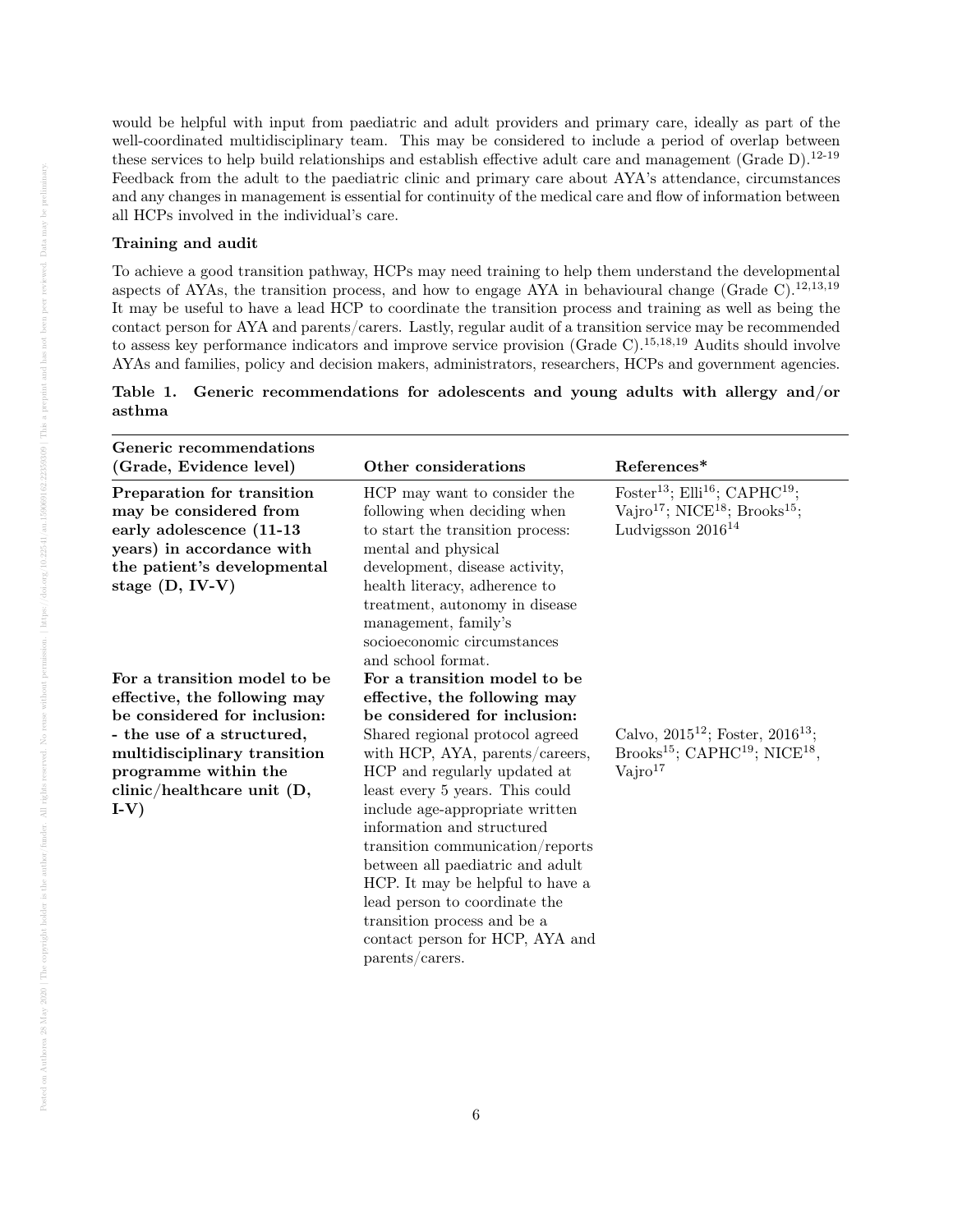would be helpful with input from paediatric and adult providers and primary care, ideally as part of the well-coordinated multidisciplinary team. This may be considered to include a period of overlap between these services to help build relationships and establish effective adult care and management (Grade D).<sup>12-19</sup> Feedback from the adult to the paediatric clinic and primary care about AYA's attendance, circumstances and any changes in management is essential for continuity of the medical care and flow of information between all HCPs involved in the individual's care.

### Training and audit

To achieve a good transition pathway, HCPs may need training to help them understand the developmental aspects of AYAs, the transition process, and how to engage AYA in behavioural change (Grade C).<sup>12,13,19</sup> It may be useful to have a lead HCP to coordinate the transition process and training as well as being the contact person for AYA and parents/carers. Lastly, regular audit of a transition service may be recommended to assess key performance indicators and improve service provision (Grade C).<sup>15,18,19</sup> Audits should involve AYAs and families, policy and decision makers, administrators, researchers, HCPs and government agencies.

|        | Table 1. Generic recommendations for adolescents and young adults with allergy and/or |  |  |  |  |
|--------|---------------------------------------------------------------------------------------|--|--|--|--|
| asthma |                                                                                       |  |  |  |  |

| Generic recommendations<br>(Grade, Evidence level)                                                                                                                                                                                  | Other considerations                                                                                                                                                                                                                                                                                                                                                                                                                                                                                                                     | References*                                                                                                                                                      |
|-------------------------------------------------------------------------------------------------------------------------------------------------------------------------------------------------------------------------------------|------------------------------------------------------------------------------------------------------------------------------------------------------------------------------------------------------------------------------------------------------------------------------------------------------------------------------------------------------------------------------------------------------------------------------------------------------------------------------------------------------------------------------------------|------------------------------------------------------------------------------------------------------------------------------------------------------------------|
| Preparation for transition<br>may be considered from<br>early adolescence (11-13<br>years) in accordance with<br>the patient's developmental<br>stage $(D, IV-V)$                                                                   | HCP may want to consider the<br>following when deciding when<br>to start the transition process:<br>mental and physical<br>development, disease activity,<br>health literacy, adherence to<br>treatment, autonomy in disease<br>management, family's<br>socioeconomic circumstances<br>and school format.                                                                                                                                                                                                                                | Foster <sup>13</sup> ; Elli <sup>16</sup> ; CAPHC <sup>19</sup> ;<br>Vajro <sup>17</sup> ; NICE <sup>18</sup> ; Brooks <sup>15</sup> ;<br>Ludvigsson $2016^{14}$ |
| For a transition model to be<br>effective, the following may<br>be considered for inclusion:<br>- the use of a structured,<br>multidisciplinary transition<br>programme within the<br>$\text{clinic/healthcare unit (D, }$<br>$I-V$ | For a transition model to be<br>effective, the following may<br>be considered for inclusion:<br>Shared regional protocol agreed<br>with HCP, AYA, parents/careers,<br>HCP and regularly updated at<br>least every 5 years. This could<br>include age-appropriate written<br>information and structured<br>transition communication/reports<br>between all paediatric and adult<br>HCP. It may be helpful to have a<br>lead person to coordinate the<br>transition process and be a<br>contact person for HCP, AYA and<br>parents/carers. | Calvo, $2015^{12}$ ; Foster, $2016^{13}$ ;<br>Brooks <sup>15</sup> ; CAPHC <sup>19</sup> ; NICE <sup>18</sup> ,<br>$\mathrm{Vajro}^{17}$                         |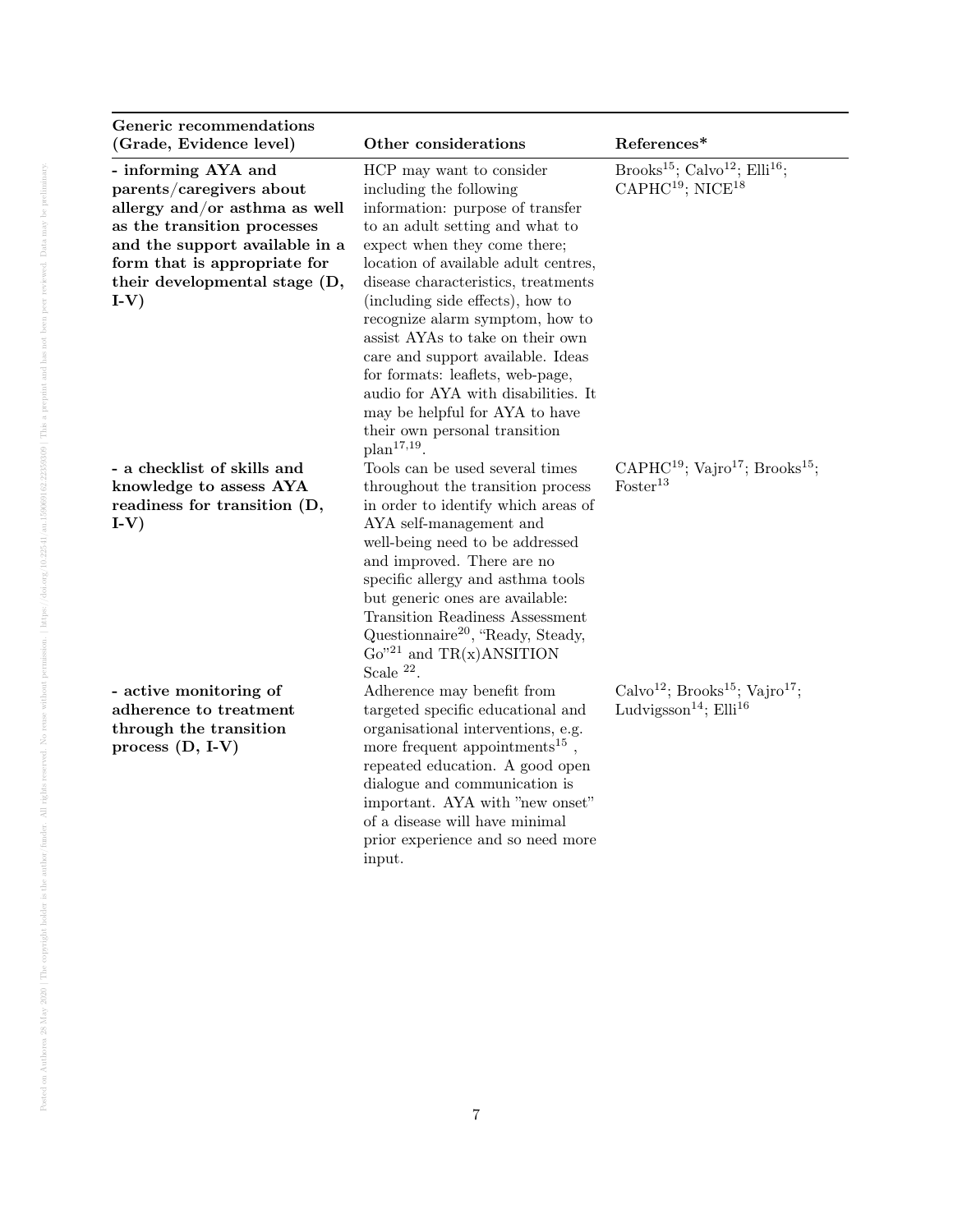| Generic recommendations<br>(Grade, Evidence level)                                                                                                                                                                          | Other considerations                                                                                                                                                                                                                                                                                                                                                                                                                                                                                                                                     | References*                                                                                                         |
|-----------------------------------------------------------------------------------------------------------------------------------------------------------------------------------------------------------------------------|----------------------------------------------------------------------------------------------------------------------------------------------------------------------------------------------------------------------------------------------------------------------------------------------------------------------------------------------------------------------------------------------------------------------------------------------------------------------------------------------------------------------------------------------------------|---------------------------------------------------------------------------------------------------------------------|
| - informing AYA and<br>parents/caregivers about<br>allergy and/or asthma as well<br>as the transition processes<br>and the support available in a<br>form that is appropriate for<br>their developmental stage (D,<br>$I-V$ | HCP may want to consider<br>including the following<br>information: purpose of transfer<br>to an adult setting and what to<br>expect when they come there;<br>location of available adult centres,<br>disease characteristics, treatments<br>(including side effects), how to<br>recognize alarm symptom, how to<br>assist AYAs to take on their own<br>care and support available. Ideas<br>for formats: leaflets, web-page,<br>audio for AYA with disabilities. It<br>may be helpful for AYA to have<br>their own personal transition<br>$plan17,19$ . | Brooks <sup>15</sup> ; Calvo <sup>12</sup> ; Elli <sup>16</sup> ;<br>$\text{CAPHC}^{19}$ ; NICE <sup>18</sup>       |
| - a checklist of skills and<br>knowledge to assess AYA<br>readiness for transition (D,<br>$I-V$                                                                                                                             | Tools can be used several times<br>throughout the transition process<br>in order to identify which areas of<br>AYA self-management and<br>well-being need to be addressed<br>and improved. There are no<br>specific allergy and asthma tools<br>but generic ones are available:<br><b>Transition Readiness Assessment</b><br>Questionnaire <sup>20</sup> , "Ready, Steady,<br>$Go''^{21}$ and TR(x)ANSITION<br>Scale $^{22}$ .                                                                                                                           | CAPHC <sup>19</sup> ; Vajro <sup>17</sup> ; Brooks <sup>15</sup> ;<br>Foster <sup>13</sup>                          |
| - active monitoring of<br>adherence to treatment<br>through the transition<br>process $(D, I-V)$                                                                                                                            | Adherence may benefit from<br>targeted specific educational and<br>organisational interventions, e.g.<br>more frequent appointments <sup>15</sup> ,<br>repeated education. A good open<br>dialogue and communication is<br>important. AYA with "new onset"<br>of a disease will have minimal<br>prior experience and so need more<br>input.                                                                                                                                                                                                              | Calvo <sup>12</sup> ; Brooks <sup>15</sup> ; Vajro <sup>17</sup> ;<br>Ludvigsson <sup>14</sup> ; Elli <sup>16</sup> |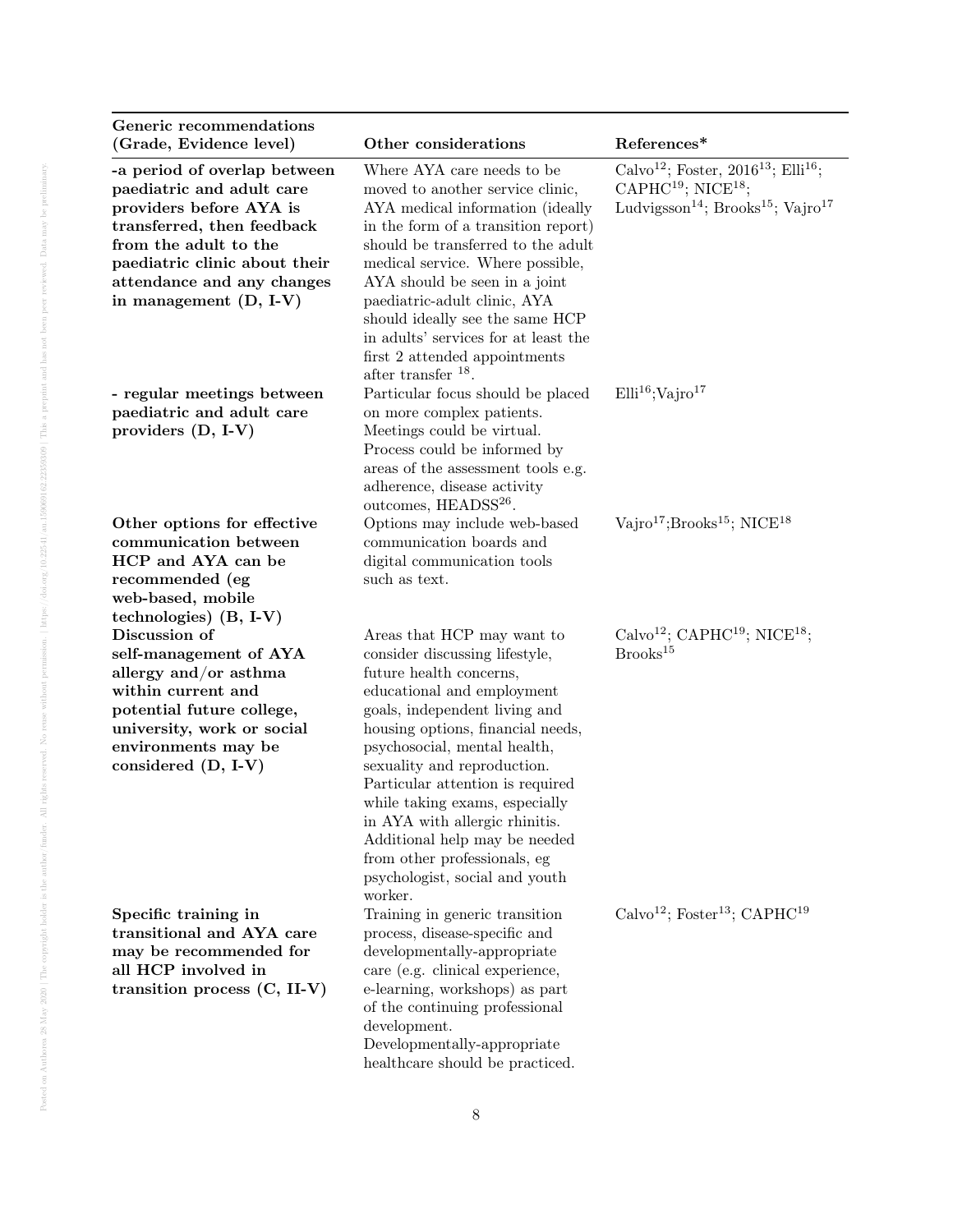| Generic recommendations<br>(Grade, Evidence level)                                                                                                                                                                                     | Other considerations                                                                                                                                                                                                                                                                                                                                                                                                                                                             | References*                                                                                                                                                                                    |
|----------------------------------------------------------------------------------------------------------------------------------------------------------------------------------------------------------------------------------------|----------------------------------------------------------------------------------------------------------------------------------------------------------------------------------------------------------------------------------------------------------------------------------------------------------------------------------------------------------------------------------------------------------------------------------------------------------------------------------|------------------------------------------------------------------------------------------------------------------------------------------------------------------------------------------------|
| -a period of overlap between<br>paediatric and adult care<br>providers before AYA is<br>transferred, then feedback<br>from the adult to the<br>paediatric clinic about their<br>attendance and any changes<br>in management $(D, I-V)$ | Where AYA care needs to be<br>moved to another service clinic,<br>AYA medical information (ideally<br>in the form of a transition report)<br>should be transferred to the adult<br>medical service. Where possible,<br>AYA should be seen in a joint<br>paediatric-adult clinic, AYA<br>should ideally see the same HCP<br>in adults' services for at least the<br>first 2 attended appointments<br>after transfer $^{18}$ .                                                     | Calvo <sup>12</sup> ; Foster, 2016 <sup>13</sup> ; Elli <sup>16</sup> ;<br>CAPHC <sup>19</sup> ; NICE <sup>18</sup> ;<br>Ludvigsson <sup>14</sup> ; Brooks <sup>15</sup> ; Vajro <sup>17</sup> |
| - regular meetings between<br>paediatric and adult care<br>providers (D, I-V)                                                                                                                                                          | Particular focus should be placed<br>on more complex patients.<br>Meetings could be virtual.<br>Process could be informed by<br>areas of the assessment tools e.g.<br>adherence, disease activity<br>outcomes, HEADSS <sup>26</sup> .                                                                                                                                                                                                                                            | Elli <sup>16</sup> ;Vajro <sup>17</sup>                                                                                                                                                        |
| Other options for effective<br>communication between<br>HCP and AYA can be<br>recommended (eg<br>web-based, mobile<br>technologies) $(B, I-V)$                                                                                         | Options may include web-based<br>communication boards and<br>digital communication tools<br>such as text.                                                                                                                                                                                                                                                                                                                                                                        | $\text{Vajro}^{17}$ ; Brooks <sup>15</sup> ; NICE <sup>18</sup>                                                                                                                                |
| Discussion of<br>self-management of AYA<br>allergy and/or asthma<br>within current and<br>potential future college,<br>university, work or social<br>environments may be<br>considered (D, I-V)                                        | Areas that HCP may want to<br>consider discussing lifestyle,<br>future health concerns,<br>educational and employment<br>goals, independent living and<br>housing options, financial needs,<br>psychosocial, mental health,<br>sexuality and reproduction.<br>Particular attention is required<br>while taking exams, especially<br>in AYA with allergic rhinitis.<br>Additional help may be needed<br>from other professionals, eg<br>psychologist, social and youth<br>worker. | Calvo <sup>12</sup> ; CAPHC <sup>19</sup> ; NICE <sup>18</sup> ;<br>Brooks <sup>15</sup>                                                                                                       |
| Specific training in<br>transitional and AYA care<br>may be recommended for<br>all HCP involved in<br>transition process $(C, II-V)$                                                                                                   | Training in generic transition<br>process, disease-specific and<br>developmentally-appropriate<br>care (e.g. clinical experience,<br>e-learning, workshops) as part<br>of the continuing professional<br>development.<br>Developmentally-appropriate<br>healthcare should be practiced.                                                                                                                                                                                          | Calvo <sup>12</sup> ; Foster <sup>13</sup> ; CAPHC <sup>19</sup>                                                                                                                               |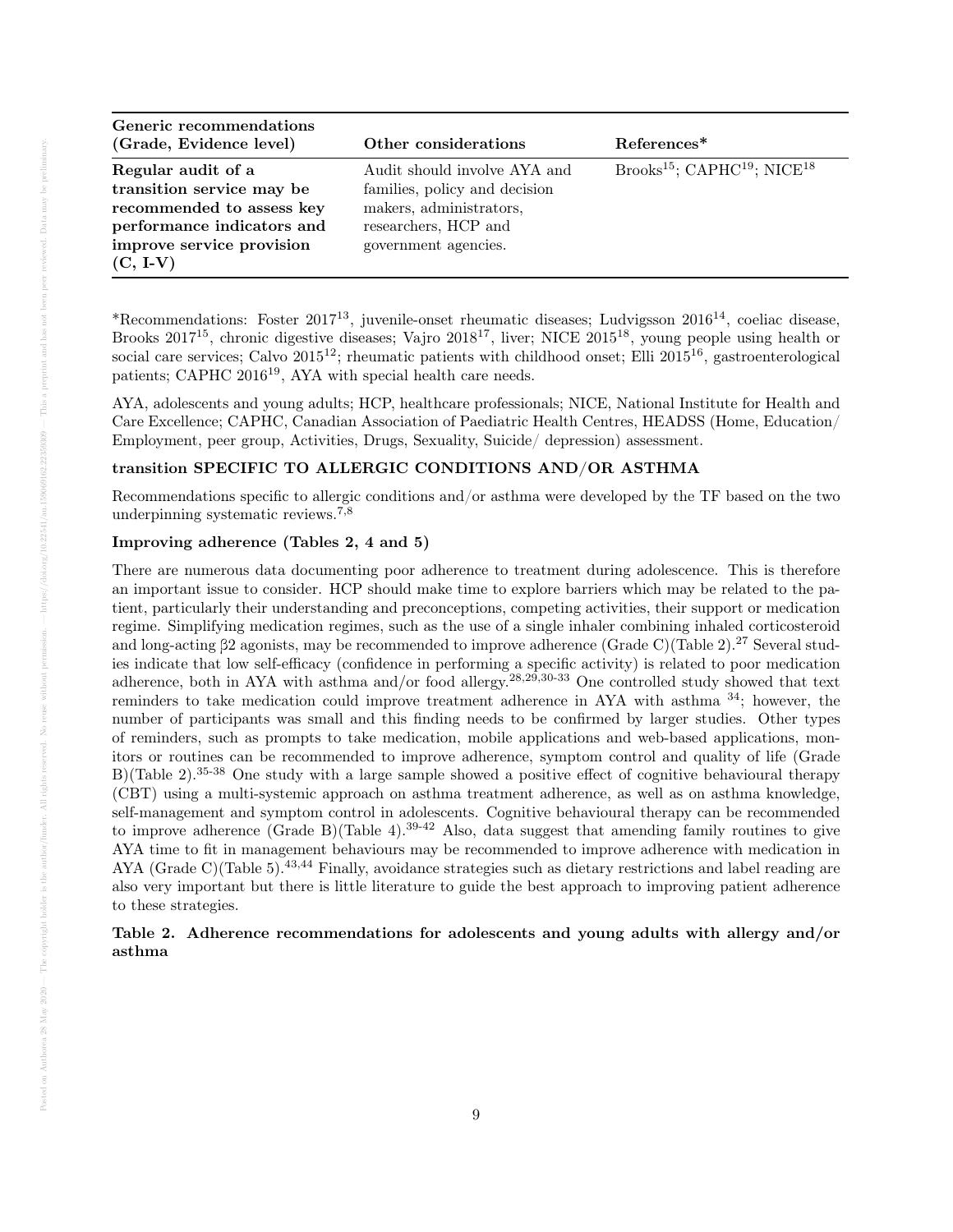| Generic recommendations    |                               |                                                                 |
|----------------------------|-------------------------------|-----------------------------------------------------------------|
| (Grade, Evidence level)    | Other considerations          | References <sup>*</sup>                                         |
| Regular audit of a         | Audit should involve AYA and  | Brooks <sup>15</sup> ; CAPHC <sup>19</sup> ; NICE <sup>18</sup> |
| transition service may be  | families, policy and decision |                                                                 |
| recommended to assess key  | makers, administrators,       |                                                                 |
| performance indicators and | researchers, HCP and          |                                                                 |
| improve service provision  | government agencies.          |                                                                 |
| $(C, I-V)$                 |                               |                                                                 |

\*Recommendations: Foster 2017<sup>13</sup>, juvenile-onset rheumatic diseases; Ludvigsson 2016<sup>14</sup>, coeliac disease, Brooks 2017<sup>15</sup>, chronic digestive diseases; Vajro 2018<sup>17</sup>, liver; NICE 2015<sup>18</sup>, young people using health or social care services; Calvo  $2015^{12}$ ; rheumatic patients with childhood onset; Elli  $2015^{16}$ , gastroenterological patients; CAPHC 2016<sup>19</sup>, AYA with special health care needs.

AYA, adolescents and young adults; HCP, healthcare professionals; NICE, National Institute for Health and Care Excellence; CAPHC, Canadian Association of Paediatric Health Centres, HEADSS (Home, Education/ Employment, peer group, Activities, Drugs, Sexuality, Suicide/ depression) assessment.

### transition SPECIFIC TO ALLERGIC CONDITIONS AND/OR ASTHMA

Recommendations specific to allergic conditions and/or asthma were developed by the TF based on the two underpinning systematic reviews.7,8

### Improving adherence (Tables 2, 4 and 5)

There are numerous data documenting poor adherence to treatment during adolescence. This is therefore an important issue to consider. HCP should make time to explore barriers which may be related to the patient, particularly their understanding and preconceptions, competing activities, their support or medication regime. Simplifying medication regimes, such as the use of a single inhaler combining inhaled corticosteroid and long-acting β2 agonists, may be recommended to improve adherence (Grade C)(Table 2).<sup>27</sup> Several studies indicate that low self-efficacy (confidence in performing a specific activity) is related to poor medication adherence, both in AYA with asthma and/or food allergy.28,29,30-33 One controlled study showed that text reminders to take medication could improve treatment adherence in AYA with asthma <sup>34</sup>; however, the number of participants was small and this finding needs to be confirmed by larger studies. Other types of reminders, such as prompts to take medication, mobile applications and web-based applications, monitors or routines can be recommended to improve adherence, symptom control and quality of life (Grade B)(Table 2).35-38 One study with a large sample showed a positive effect of cognitive behavioural therapy (CBT) using a multi-systemic approach on asthma treatment adherence, as well as on asthma knowledge, self-management and symptom control in adolescents. Cognitive behavioural therapy can be recommended to improve adherence (Grade B)(Table 4).<sup>39-42</sup> Also, data suggest that amending family routines to give AYA time to fit in management behaviours may be recommended to improve adherence with medication in AYA (Grade C)(Table 5).<sup>43,44</sup> Finally, avoidance strategies such as dietary restrictions and label reading are also very important but there is little literature to guide the best approach to improving patient adherence to these strategies.

# Table 2. Adherence recommendations for adolescents and young adults with allergy and/or asthma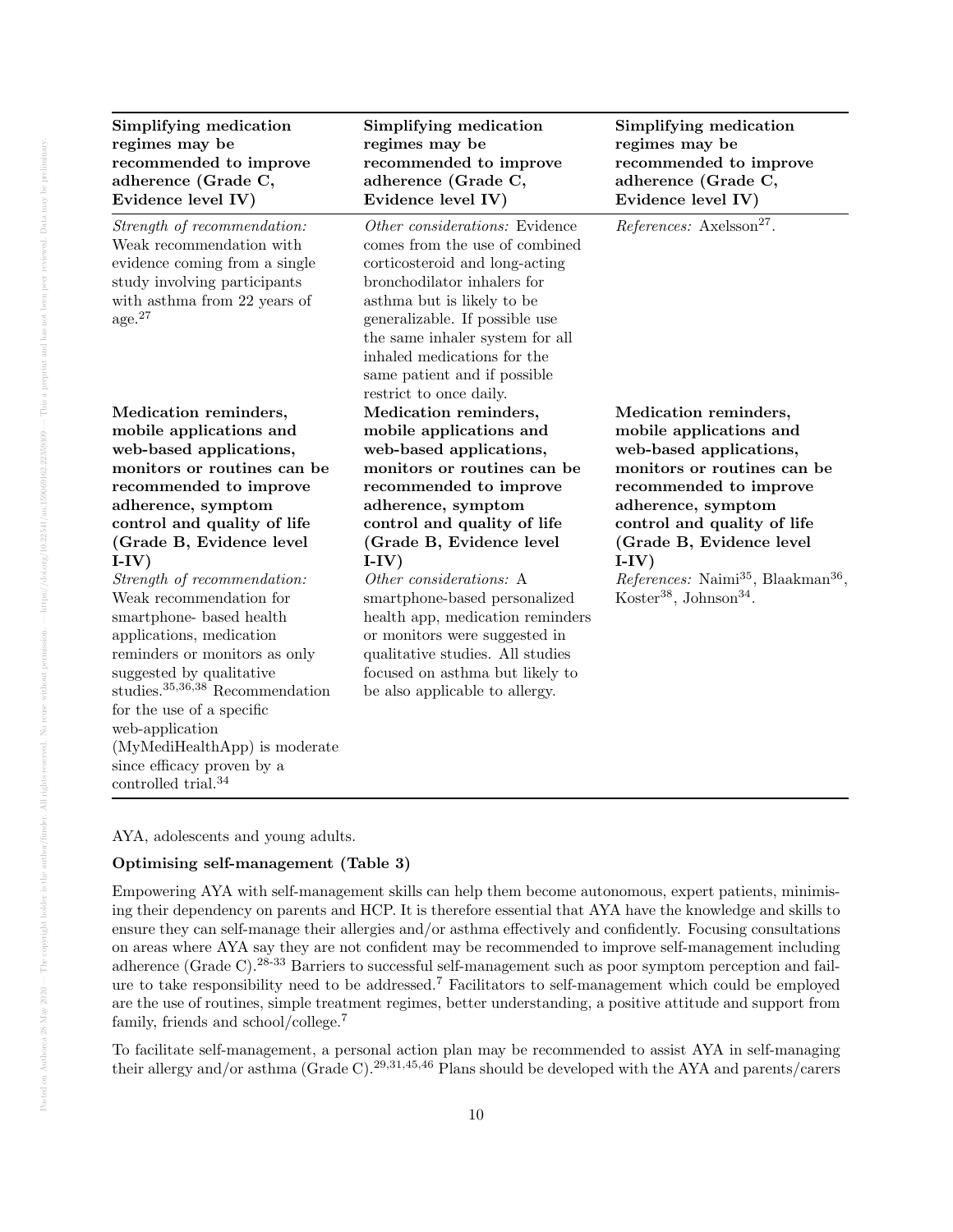| Simplifying medication<br>regimes may be<br>recommended to improve<br>adherence (Grade C,<br>Evidence level IV)                                                                                                                                                                                                                                                                                                                                                                                                                                                                                                 | Simplifying medication<br>regimes may be<br>recommended to improve<br>adherence (Grade C,<br>Evidence level IV)                                                                                                                                                                                                                                                                                                                                                            | Simplifying medication<br>regimes may be<br>recommended to improve<br>adherence (Grade C,<br>Evidence level IV)                                                                                                                                                                                                                                  |
|-----------------------------------------------------------------------------------------------------------------------------------------------------------------------------------------------------------------------------------------------------------------------------------------------------------------------------------------------------------------------------------------------------------------------------------------------------------------------------------------------------------------------------------------------------------------------------------------------------------------|----------------------------------------------------------------------------------------------------------------------------------------------------------------------------------------------------------------------------------------------------------------------------------------------------------------------------------------------------------------------------------------------------------------------------------------------------------------------------|--------------------------------------------------------------------------------------------------------------------------------------------------------------------------------------------------------------------------------------------------------------------------------------------------------------------------------------------------|
| Strength of recommendation:<br>Weak recommendation with<br>evidence coming from a single<br>study involving participants<br>with asthma from 22 years of<br>age. <sup>27</sup>                                                                                                                                                                                                                                                                                                                                                                                                                                  | Other considerations: Evidence<br>comes from the use of combined<br>corticosteroid and long-acting<br>bronchodilator inhalers for<br>asthma but is likely to be<br>generalizable. If possible use<br>the same inhaler system for all<br>inhaled medications for the<br>same patient and if possible<br>restrict to once daily.                                                                                                                                             | References: Axelsson <sup>27</sup> .                                                                                                                                                                                                                                                                                                             |
| Medication reminders,<br>mobile applications and<br>web-based applications,<br>monitors or routines can be<br>recommended to improve<br>adherence, symptom<br>control and quality of life<br>(Grade B, Evidence level<br>$I-IV)$<br>Strength of recommendation:<br>Weak recommendation for<br>smartphone-based health<br>applications, medication<br>reminders or monitors as only<br>suggested by qualitative<br>studies. <sup>35,36,38</sup> Recommendation<br>for the use of a specific<br>web-application<br>(MyMediHealthApp) is moderate<br>since efficacy proven by a<br>controlled trial. <sup>34</sup> | Medication reminders,<br>mobile applications and<br>web-based applications,<br>monitors or routines can be<br>recommended to improve<br>adherence, symptom<br>control and quality of life<br>(Grade B, Evidence level<br>$I-IV)$<br>Other considerations: A<br>smartphone-based personalized<br>health app, medication reminders<br>or monitors were suggested in<br>qualitative studies. All studies<br>focused on asthma but likely to<br>be also applicable to allergy. | Medication reminders,<br>mobile applications and<br>web-based applications,<br>monitors or routines can be<br>recommended to improve<br>adherence, symptom<br>control and quality of life<br>(Grade B, Evidence level<br>$I-IV)$<br>References: Naimi <sup>35</sup> , Blaakman <sup>36</sup> ,<br>Koster <sup>38</sup> , Johnson <sup>34</sup> . |

AYA, adolescents and young adults.

# Optimising self-management (Table 3)

Empowering AYA with self-management skills can help them become autonomous, expert patients, minimising their dependency on parents and HCP. It is therefore essential that AYA have the knowledge and skills to ensure they can self-manage their allergies and/or asthma effectively and confidently. Focusing consultations on areas where AYA say they are not confident may be recommended to improve self-management including adherence (Grade C).<sup>28-33</sup> Barriers to successful self-management such as poor symptom perception and failure to take responsibility need to be addressed.<sup>7</sup> Facilitators to self-management which could be employed are the use of routines, simple treatment regimes, better understanding, a positive attitude and support from family, friends and school/college.<sup>7</sup>

To facilitate self-management, a personal action plan may be recommended to assist AYA in self-managing their allergy and/or asthma (Grade C).29,31,45,46 Plans should be developed with the AYA and parents/carers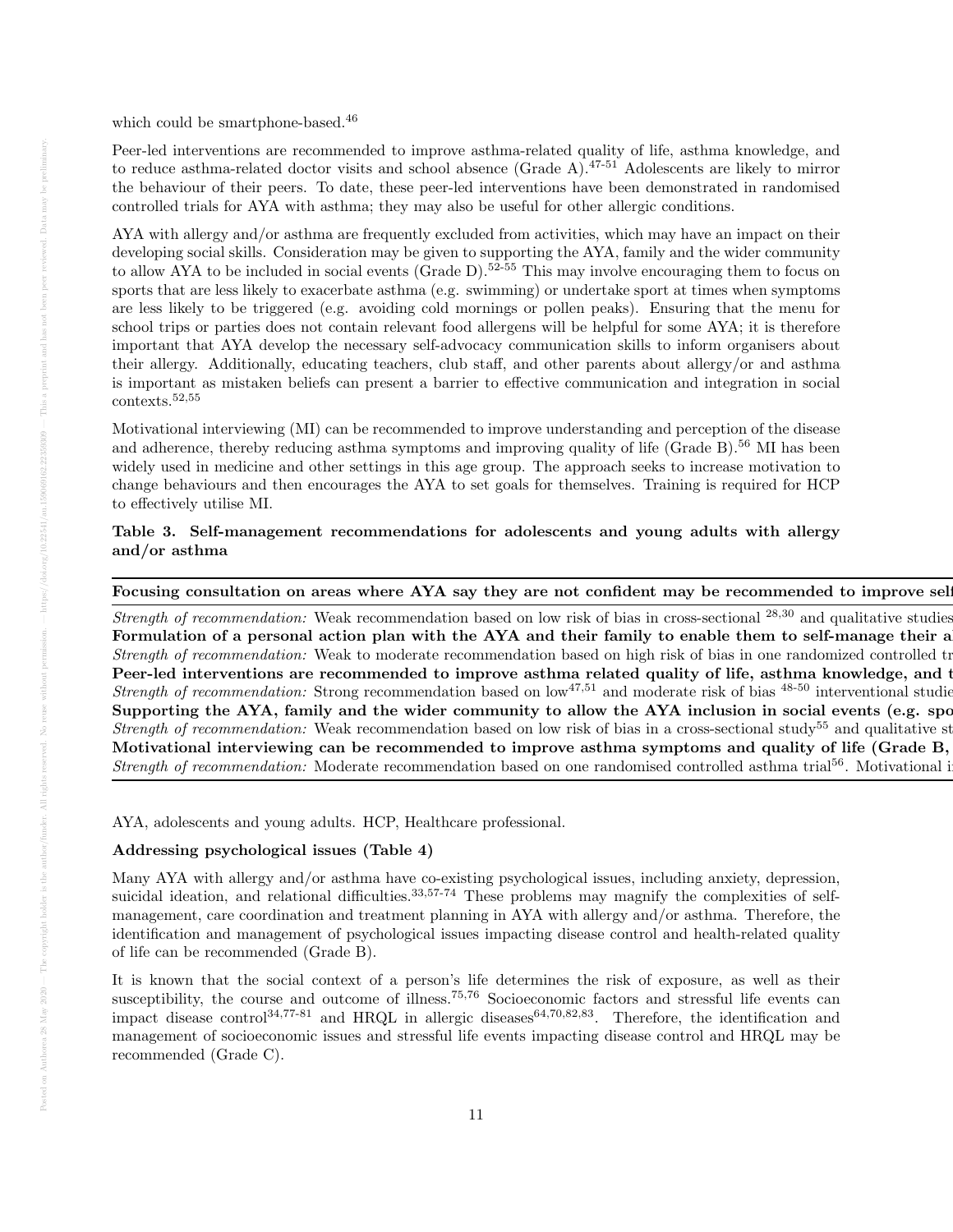which could be smartphone-based.<sup>46</sup>

Peer-led interventions are recommended to improve asthma-related quality of life, asthma knowledge, and to reduce asthma-related doctor visits and school absence (Grade A).47-51 Adolescents are likely to mirror the behaviour of their peers. To date, these peer-led interventions have been demonstrated in randomised controlled trials for AYA with asthma; they may also be useful for other allergic conditions.

AYA with allergy and/or asthma are frequently excluded from activities, which may have an impact on their developing social skills. Consideration may be given to supporting the AYA, family and the wider community to allow AYA to be included in social events (Grade D).<sup>52-55</sup> This may involve encouraging them to focus on sports that are less likely to exacerbate asthma (e.g. swimming) or undertake sport at times when symptoms are less likely to be triggered (e.g. avoiding cold mornings or pollen peaks). Ensuring that the menu for school trips or parties does not contain relevant food allergens will be helpful for some AYA; it is therefore important that AYA develop the necessary self-advocacy communication skills to inform organisers about their allergy. Additionally, educating teachers, club staff, and other parents about allergy/or and asthma is important as mistaken beliefs can present a barrier to effective communication and integration in social contexts.52,55

Motivational interviewing (MI) can be recommended to improve understanding and perception of the disease and adherence, thereby reducing asthma symptoms and improving quality of life (Grade B).<sup>56</sup> MI has been widely used in medicine and other settings in this age group. The approach seeks to increase motivation to change behaviours and then encourages the AYA to set goals for themselves. Training is required for HCP to effectively utilise MI.

# Table 3. Self-management recommendations for adolescents and young adults with allergy and/or asthma

# Focusing consultation on areas where AYA say they are not confident may be recommended to improve sel

Strength of recommendation: Weak recommendation based on low risk of bias in cross-sectional  $^{28,30}$  and qualitative studies Formulation of a personal action plan with the AYA and their family to enable them to self-manage their a Strength of recommendation: Weak to moderate recommendation based on high risk of bias in one randomized controlled trial Peer-led interventions are recommended to improve asthma related quality of life, asthma knowledge, and t *Strength of recommendation:* Strong recommendation based on  $\text{low}^{47,51}$  and moderate risk of bias  $^{48-50}$  interventional studies Supporting the AYA, family and the wider community to allow the AYA inclusion in social events (e.g. sponding *Strength of recommendation:* Weak recommendation based on low risk of bias in a cross-sectional study<sup>55</sup> and qualitative st Motivational interviewing can be recommended to improve asthma symptoms and quality of life (Grade B, Strength of recommendation: Moderate recommendation based on one randomised controlled asthma trial<sup>56</sup>. Motivational i

AYA, adolescents and young adults. HCP, Healthcare professional.

# Addressing psychological issues (Table 4)

Many AYA with allergy and/or asthma have co-existing psychological issues, including anxiety, depression, suicidal ideation, and relational difficulties.<sup>33,57-74</sup> These problems may magnify the complexities of selfmanagement, care coordination and treatment planning in AYA with allergy and/or asthma. Therefore, the identification and management of psychological issues impacting disease control and health-related quality of life can be recommended (Grade B).

It is known that the social context of a person's life determines the risk of exposure, as well as their susceptibility, the course and outcome of illness.<sup>75,76</sup> Socioeconomic factors and stressful life events can impact disease control<sup>34,77-81</sup> and HRQL in allergic diseases<sup>64,70,82,83</sup>. Therefore, the identification and management of socioeconomic issues and stressful life events impacting disease control and HRQL may be recommended (Grade C).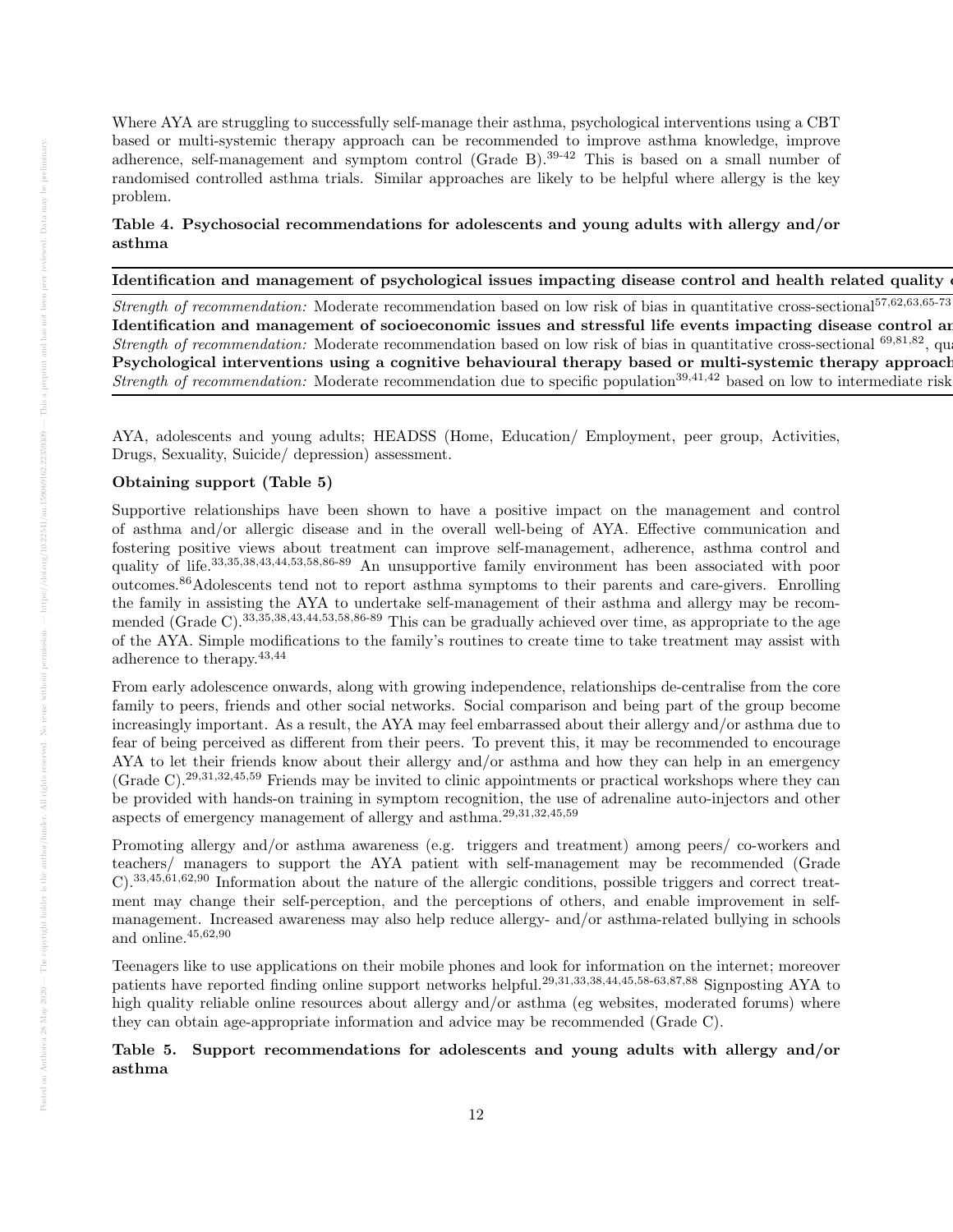Where AYA are struggling to successfully self-manage their asthma, psychological interventions using a CBT based or multi-systemic therapy approach can be recommended to improve asthma knowledge, improve adherence, self-management and symptom control (Grade B).39-42 This is based on a small number of randomised controlled asthma trials. Similar approaches are likely to be helpful where allergy is the key problem.

# Table 4. Psychosocial recommendations for adolescents and young adults with allergy and/or asthma

# Identification and management of psychological issues impacting disease control and health related quality of

Strength of recommendation: Moderate recommendation based on low risk of bias in quantitative cross-sectional<sup>57,62,63,65-73</sup> Identification and management of socioeconomic issues and stressful life events impacting disease control are Strength of recommendation: Moderate recommendation based on low risk of bias in quantitative cross-sectional <sup>69,81,82</sup>, qu Psychological interventions using a cognitive behavioural therapy based or multi-systemic therapy approach Strength of recommendation: Moderate recommendation due to specific population<sup>39,41,42</sup> based on low to intermediate risk

AYA, adolescents and young adults; HEADSS (Home, Education/ Employment, peer group, Activities, Drugs, Sexuality, Suicide/ depression) assessment.

### Obtaining support (Table 5)

Supportive relationships have been shown to have a positive impact on the management and control of asthma and/or allergic disease and in the overall well-being of AYA. Effective communication and fostering positive views about treatment can improve self-management, adherence, asthma control and quality of life.<sup>33,35,38,43,44,53,58,86-89</sup> An unsupportive family environment has been associated with poor outcomes.86Adolescents tend not to report asthma symptoms to their parents and care-givers. Enrolling the family in assisting the AYA to undertake self-management of their asthma and allergy may be recommended (Grade C).33,35,38,43,44,53,58,86-89 This can be gradually achieved over time, as appropriate to the age of the AYA. Simple modifications to the family's routines to create time to take treatment may assist with adherence to therapy.43,44

From early adolescence onwards, along with growing independence, relationships de-centralise from the core family to peers, friends and other social networks. Social comparison and being part of the group become increasingly important. As a result, the AYA may feel embarrassed about their allergy and/or asthma due to fear of being perceived as different from their peers. To prevent this, it may be recommended to encourage AYA to let their friends know about their allergy and/or asthma and how they can help in an emergency (Grade C).29,31,32,45,59 Friends may be invited to clinic appointments or practical workshops where they can be provided with hands-on training in symptom recognition, the use of adrenaline auto-injectors and other aspects of emergency management of allergy and asthma.29,31,32,45,59

Promoting allergy and/or asthma awareness (e.g. triggers and treatment) among peers/ co-workers and teachers/ managers to support the AYA patient with self-management may be recommended (Grade C).33,45,61,62,90 Information about the nature of the allergic conditions, possible triggers and correct treatment may change their self-perception, and the perceptions of others, and enable improvement in selfmanagement. Increased awareness may also help reduce allergy- and/or asthma-related bullying in schools and online. $45,62,90$ 

Teenagers like to use applications on their mobile phones and look for information on the internet; moreover patients have reported finding online support networks helpful.29,31,33,38,44,45,58-63,87,88 Signposting AYA to high quality reliable online resources about allergy and/or asthma (eg websites, moderated forums) where they can obtain age-appropriate information and advice may be recommended (Grade C).

# Table 5. Support recommendations for adolescents and young adults with allergy and/or asthma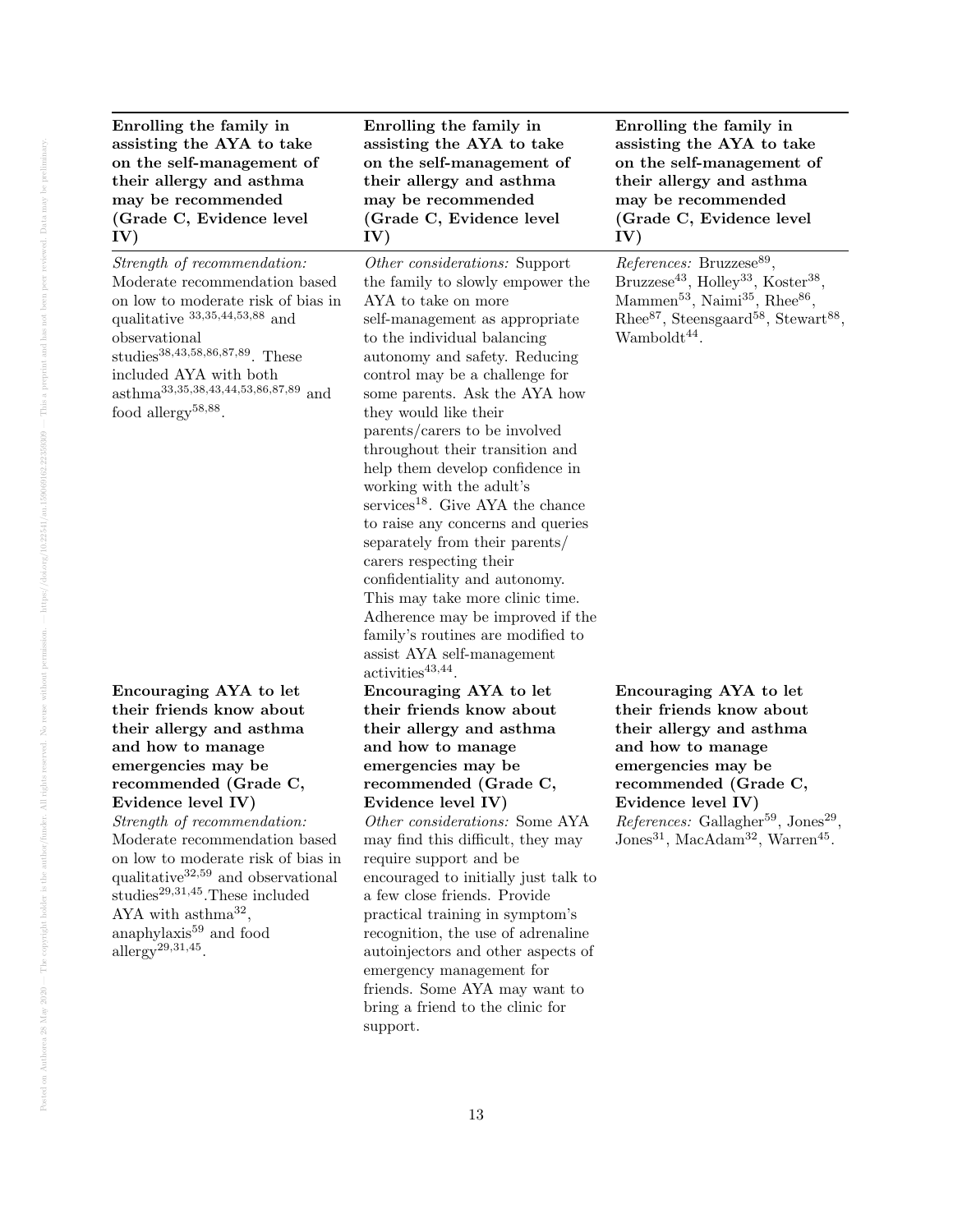Enrolling the family in assisting the AYA to take on the self-management of their allergy and asthma may be recommended (Grade C, Evidence level IV)

Strength of recommendation: Moderate recommendation based on low to moderate risk of bias in qualitative 33,35,44,53,88 and observational studies38,43,58,86,87,89. These included AYA with both asthma33,35,38,43,44,53,86,87,89 and food allergy<sup>58,88</sup>.

Encouraging AYA to let their friends know about their allergy and asthma and how to manage emergencies may be recommended (Grade C, Evidence level IV) Strength of recommendation:

Moderate recommendation based on low to moderate risk of bias in qualitative<sup>32,59</sup> and observational studies29,31,45.These included AYA with  $\text{asthma}^{32}$ , anaphylaxis<sup>59</sup> and food allergy<sup>29,31,45</sup>.

Enrolling the family in assisting the AYA to take on the self-management of their allergy and asthma may be recommended (Grade C, Evidence level IV)

Other considerations: Support the family to slowly empower the AYA to take on more self-management as appropriate to the individual balancing autonomy and safety. Reducing control may be a challenge for some parents. Ask the AYA how they would like their parents/carers to be involved throughout their transition and help them develop confidence in working with the adult's  $s$ ervices<sup>18</sup>. Give AYA the chance to raise any concerns and queries separately from their parents/ carers respecting their confidentiality and autonomy. This may take more clinic time. Adherence may be improved if the family's routines are modified to assist AYA self-management  $\text{activities}^{43,44}.$ Encouraging AYA to let their friends know about their allergy and asthma and how to manage emergencies may be recommended (Grade C, Evidence level IV) Other considerations: Some AYA may find this difficult, they may require support and be

encouraged to initially just talk to a few close friends. Provide practical training in symptom's recognition, the use of adrenaline autoinjectors and other aspects of emergency management for friends. Some AYA may want to bring a friend to the clinic for support.

Enrolling the family in assisting the AYA to take on the self-management of their allergy and asthma may be recommended (Grade C, Evidence level IV)

References: Bruzzese<sup>89</sup>, Bruzzese<sup>43</sup>, Holley<sup>33</sup>, Koster<sup>38</sup>, Mammen<sup>53</sup>, Naimi<sup>35</sup>, Rhee<sup>86</sup>, Rhee<sup>87</sup>, Steensgaard<sup>58</sup>, Stewart<sup>88</sup>,  $Wamboldt<sup>44</sup>$ .

Encouraging AYA to let their friends know about their allergy and asthma and how to manage emergencies may be recommended (Grade C, Evidence level IV)  $References:$  Gallagher<sup>59</sup>, Jones<sup>29</sup>,  $\text{Jones}^{31}$ , MacAdam<sup>32</sup>, Warren<sup>45</sup>.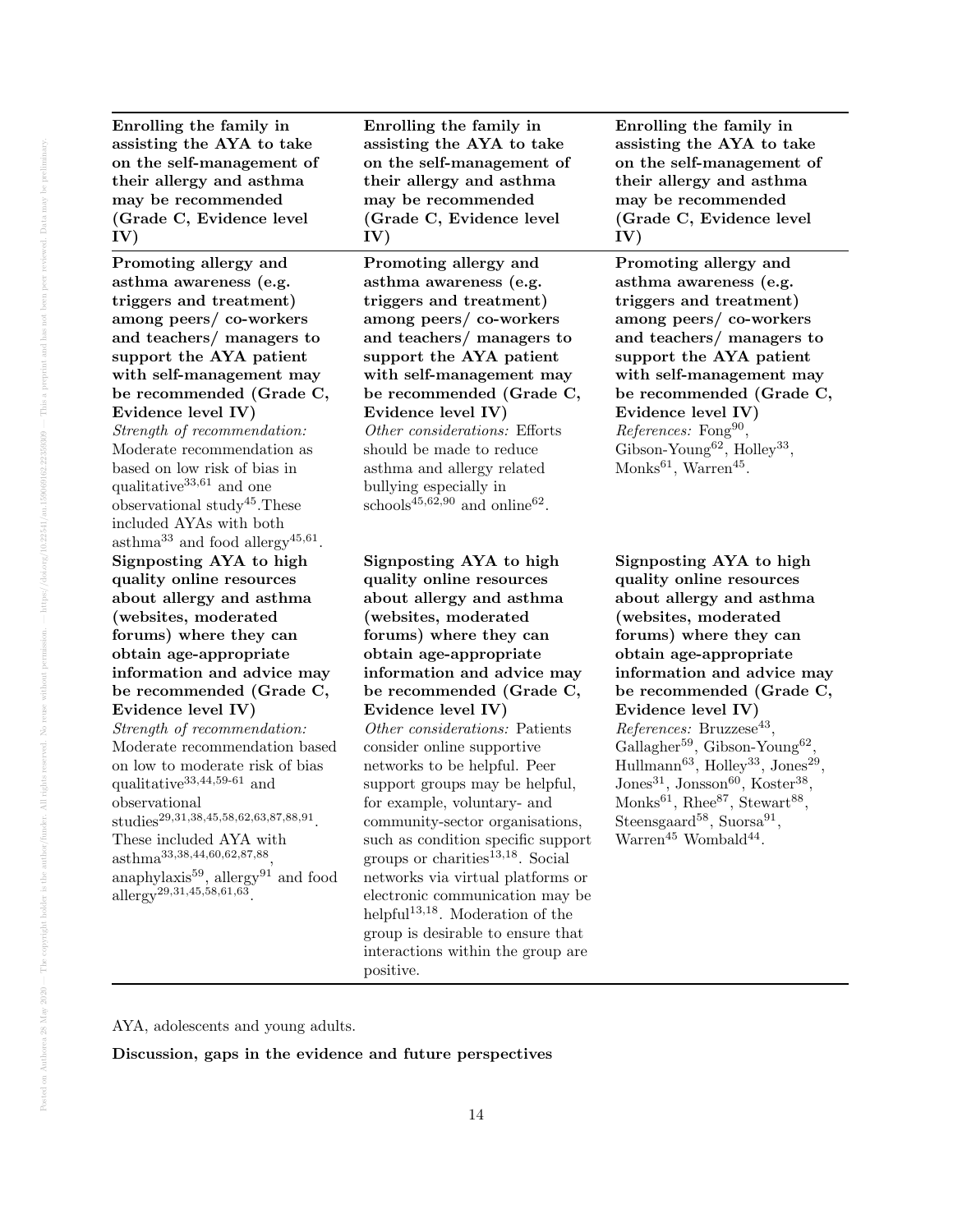Enrolling the family in assisting the AYA to take on the self-management of their allergy and asthma may be recommended (Grade C, Evidence level IV)

Promoting allergy and asthma awareness (e.g. triggers and treatment) among peers/ co-workers and teachers/ managers to support the AYA patient with self-management may be recommended (Grade C, Evidence level IV)

Strength of recommendation: Moderate recommendation as based on low risk of bias in qualitative $33,61$  and one observational study45.These included AYAs with both  $\text{asthma}^{33}$  and food allergy<sup>45,61</sup>. Signposting AYA to high quality online resources about allergy and asthma (websites, moderated forums) where they can obtain age-appropriate information and advice may be recommended (Grade C, Evidence level IV)

Strength of recommendation: Moderate recommendation based on low to moderate risk of bias qualitative<sup>33,44,59-61</sup> and observational  $\mathrm{\textit{studies}}^{29,31,38,45,58,62,63,87,88,91}.$ 

These included AYA with asthma33,38,44,60,62,87,88 , anaphylaxis<sup>59</sup>, allergy<sup>91</sup> and food allergy29,31,45,58,61,63 .

Enrolling the family in assisting the AYA to take on the self-management of their allergy and asthma may be recommended (Grade C, Evidence level IV)

Promoting allergy and asthma awareness (e.g. triggers and treatment) among peers/ co-workers and teachers/ managers to support the AYA patient with self-management may be recommended (Grade C, Evidence level IV) Other considerations: Efforts

should be made to reduce asthma and allergy related bullying especially in schools<sup>45,62,90</sup> and online<sup>62</sup>.

Signposting AYA to high quality online resources about allergy and asthma (websites, moderated forums) where they can obtain age-appropriate information and advice may be recommended (Grade C, Evidence level IV)

Other considerations: Patients consider online supportive networks to be helpful. Peer support groups may be helpful, for example, voluntary- and community-sector organisations, such as condition specific support groups or charities<sup>13,18</sup>. Social networks via virtual platforms or electronic communication may be helpful<sup>13,18</sup>. Moderation of the group is desirable to ensure that interactions within the group are positive.

Enrolling the family in assisting the AYA to take on the self-management of their allergy and asthma may be recommended (Grade C, Evidence level IV)

Promoting allergy and asthma awareness (e.g. triggers and treatment) among peers/ co-workers and teachers/ managers to support the AYA patient with self-management may be recommended (Grade C, Evidence level IV) References: Fong<sup>90</sup>, Gibson-Young<sup>62</sup>, Holley<sup>33</sup>, Monks<sup>61</sup>, Warren<sup>45</sup>.

Signposting AYA to high quality online resources about allergy and asthma (websites, moderated forums) where they can obtain age-appropriate information and advice may be recommended (Grade C, Evidence level IV)  $References: Bruzzese<sup>43</sup>,$ Gallagher<sup>59</sup>, Gibson-Young<sup>62</sup>,  $\text{Hullmann}^{63}$ , Holley<sup>33</sup>, Jones<sup>29</sup>,  $Jones^{31}$ , Jonsson<sup>60</sup>, Koster<sup>38</sup>, Monks<sup>61</sup>, Rhee<sup>87</sup>, Stewart<sup>88</sup>, Steensgaard<sup>58</sup>, Suorsa<sup>91</sup>, Warren<sup>45</sup> Wombald<sup>44</sup>.

AYA, adolescents and young adults.

Discussion, gaps in the evidence and future perspectives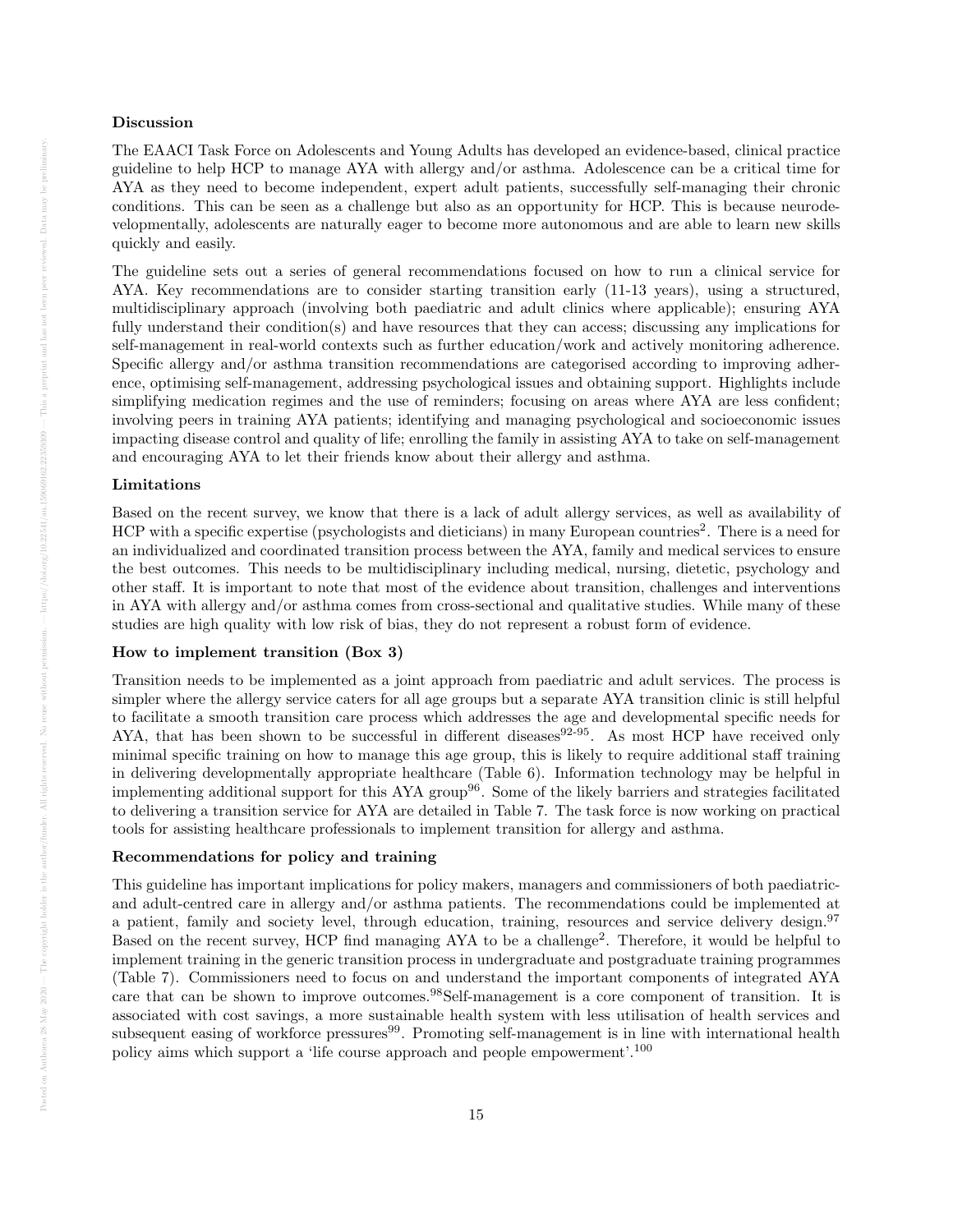### Discussion

The EAACI Task Force on Adolescents and Young Adults has developed an evidence-based, clinical practice guideline to help HCP to manage AYA with allergy and/or asthma. Adolescence can be a critical time for AYA as they need to become independent, expert adult patients, successfully self-managing their chronic conditions. This can be seen as a challenge but also as an opportunity for HCP. This is because neurodevelopmentally, adolescents are naturally eager to become more autonomous and are able to learn new skills quickly and easily.

The guideline sets out a series of general recommendations focused on how to run a clinical service for AYA. Key recommendations are to consider starting transition early (11-13 years), using a structured, multidisciplinary approach (involving both paediatric and adult clinics where applicable); ensuring AYA fully understand their condition(s) and have resources that they can access; discussing any implications for self-management in real-world contexts such as further education/work and actively monitoring adherence. Specific allergy and/or asthma transition recommendations are categorised according to improving adherence, optimising self-management, addressing psychological issues and obtaining support. Highlights include simplifying medication regimes and the use of reminders; focusing on areas where AYA are less confident; involving peers in training AYA patients; identifying and managing psychological and socioeconomic issues impacting disease control and quality of life; enrolling the family in assisting AYA to take on self-management and encouraging AYA to let their friends know about their allergy and asthma.

### Limitations

Based on the recent survey, we know that there is a lack of adult allergy services, as well as availability of HCP with a specific expertise (psychologists and dieticians) in many European countries<sup>2</sup>. There is a need for an individualized and coordinated transition process between the AYA, family and medical services to ensure the best outcomes. This needs to be multidisciplinary including medical, nursing, dietetic, psychology and other staff. It is important to note that most of the evidence about transition, challenges and interventions in AYA with allergy and/or asthma comes from cross-sectional and qualitative studies. While many of these studies are high quality with low risk of bias, they do not represent a robust form of evidence.

### How to implement transition (Box 3)

Transition needs to be implemented as a joint approach from paediatric and adult services. The process is simpler where the allergy service caters for all age groups but a separate AYA transition clinic is still helpful to facilitate a smooth transition care process which addresses the age and developmental specific needs for AYA, that has been shown to be successful in different diseases  $92-95$ . As most HCP have received only minimal specific training on how to manage this age group, this is likely to require additional staff training in delivering developmentally appropriate healthcare (Table 6). Information technology may be helpful in implementing additional support for this AYA group96. Some of the likely barriers and strategies facilitated to delivering a transition service for AYA are detailed in Table 7. The task force is now working on practical tools for assisting healthcare professionals to implement transition for allergy and asthma.

### Recommendations for policy and training

This guideline has important implications for policy makers, managers and commissioners of both paediatricand adult-centred care in allergy and/or asthma patients. The recommendations could be implemented at a patient, family and society level, through education, training, resources and service delivery design.<sup>97</sup> Based on the recent survey, HCP find managing AYA to be a challenge<sup>2</sup>. Therefore, it would be helpful to implement training in the generic transition process in undergraduate and postgraduate training programmes (Table 7). Commissioners need to focus on and understand the important components of integrated AYA care that can be shown to improve outcomes.<sup>98</sup>Self-management is a core component of transition. It is associated with cost savings, a more sustainable health system with less utilisation of health services and subsequent easing of workforce pressures<sup>99</sup>. Promoting self-management is in line with international health policy aims which support a 'life course approach and people empowerment'.<sup>100</sup>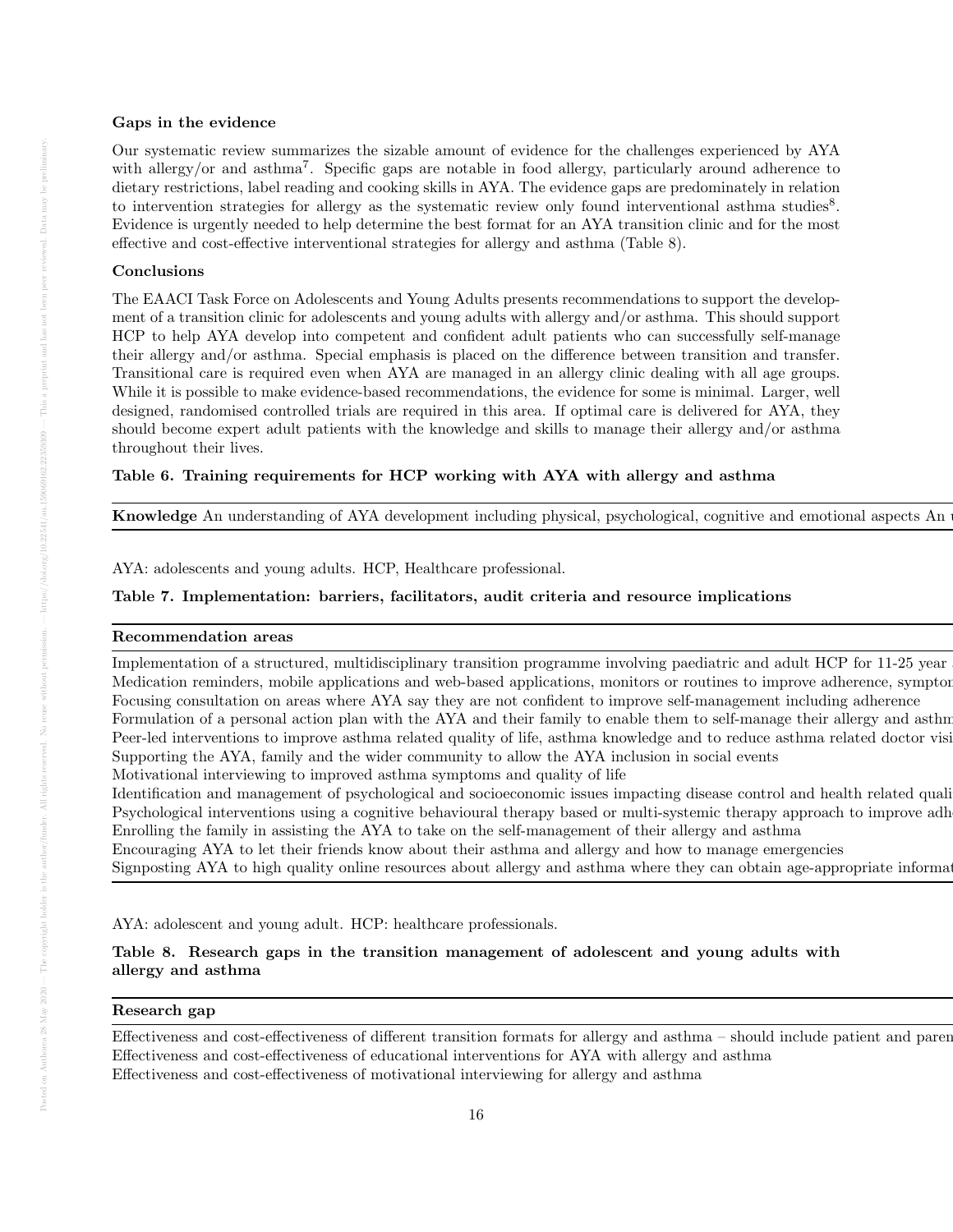### Gaps in the evidence

Our systematic review summarizes the sizable amount of evidence for the challenges experienced by AYA with allergy/or and asthma<sup>7</sup>. Specific gaps are notable in food allergy, particularly around adherence to dietary restrictions, label reading and cooking skills in AYA. The evidence gaps are predominately in relation to intervention strategies for allergy as the systematic review only found interventional asthma studies $8$ . Evidence is urgently needed to help determine the best format for an AYA transition clinic and for the most effective and cost-effective interventional strategies for allergy and asthma (Table 8).

# Conclusions

The EAACI Task Force on Adolescents and Young Adults presents recommendations to support the development of a transition clinic for adolescents and young adults with allergy and/or asthma. This should support HCP to help AYA develop into competent and confident adult patients who can successfully self-manage their allergy and/or asthma. Special emphasis is placed on the difference between transition and transfer. Transitional care is required even when AYA are managed in an allergy clinic dealing with all age groups. While it is possible to make evidence-based recommendations, the evidence for some is minimal. Larger, well designed, randomised controlled trials are required in this area. If optimal care is delivered for AYA, they should become expert adult patients with the knowledge and skills to manage their allergy and/or asthma throughout their lives.

### Table 6. Training requirements for HCP working with AYA with allergy and asthma

**Knowledge** An understanding of AYA development including physical, psychological, cognitive and emotional aspects An

AYA: adolescents and young adults. HCP, Healthcare professional.

### Table 7. Implementation: barriers, facilitators, audit criteria and resource implications

### Recommendation areas Barriers to implementation Facilitators to implementation Audit criteria Resource implications

Implementation of a structured, multidisciplinary transition programme involving paediatric and adult HCP for 11-25 year Medication reminders, mobile applications and web-based applications, monitors or routines to improve adherence, sympton Focusing consultation on areas where AYA say they are not confident to improve self-management including adherence Formulation of a personal action plan with the AYA and their family to enable them to self-manage their allergy and asthm Peer-led interventions to improve asthma related quality of life, asthma knowledge and to reduce asthma related doctor visit Supporting the AYA, family and the wider community to allow the AYA inclusion in social events

Motivational interviewing to improved as thma symptoms and quality of life

Identification and management of psychological and socioeconomic issues impacting disease control and health related quali Psychological interventions using a cognitive behavioural therapy based or multi-systemic therapy approach to improve adh Enrolling the family in assisting the AYA to take on the self-management of their allergy and asthma

Encouraging AYA to let their friends know about their asthma and allergy and how to manage emergencies Signposting AYA to high quality online resources about allergy and asthma where they can obtain age-appropriate information

AYA: adolescent and young adult. HCP: healthcare professionals.

# Table 8. Research gaps in the transition management of adolescent and young adults with allergy and asthma

# $\rm{Research ~gap}$

Effectiveness and cost-effectiveness of different transition formats for allergy and asthma – should include patient and parent Effectiveness and cost-effectiveness of educational interventions for AYA with allergy and asthma Effectiveness and cost-effectiveness of motivational interviewing for allergy and asthma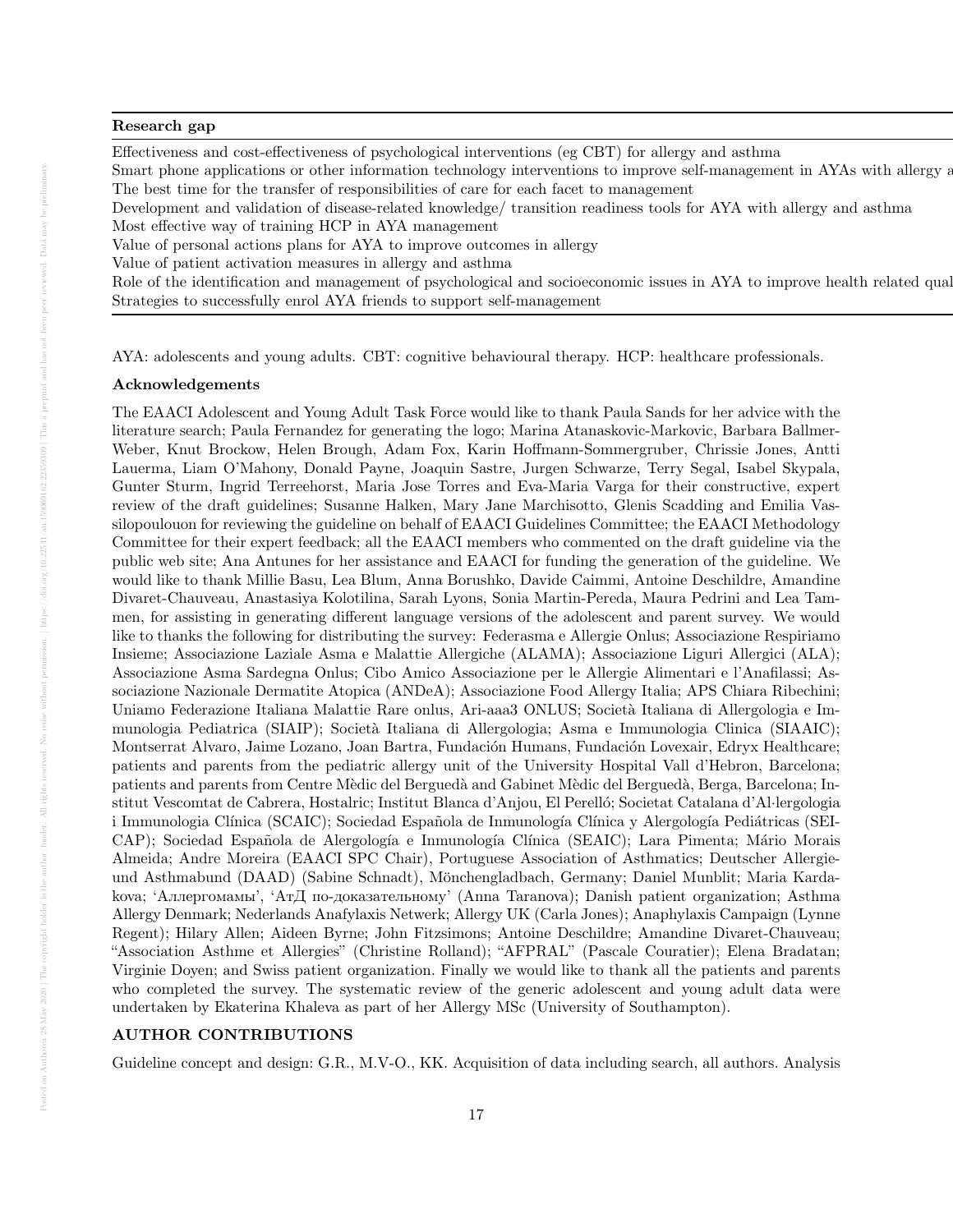# $\rm{Research ~gap}$

Effectiveness and cost-effectiveness of psychological interventions (eg CBT) for allergy and asthma Smart phone applications or other information technology interventions to improve self-management in AYAs with allergy a The best time for the transfer of responsibilities of care for each facet to management Development and validation of disease-related knowledge/ transition readiness tools for AYA with allergy and asthma Most effective way of training HCP in AYA management Value of personal actions plans for AYA to improve outcomes in allergy

Value of patient activation measures in allergy and asthma

Role of the identification and management of psychological and socioeconomic issues in AYA to improve health related qual Strategies to successfully enrol AYA friends to support self-management

AYA: adolescents and young adults. CBT: cognitive behavioural therapy. HCP: healthcare professionals.

#### Acknowledgements

The EAACI Adolescent and Young Adult Task Force would like to thank Paula Sands for her advice with the literature search; Paula Fernandez for generating the logo; Marina Atanaskovic-Markovic, Barbara Ballmer-Weber, Knut Brockow, Helen Brough, Adam Fox, Karin Hoffmann-Sommergruber, Chrissie Jones, Antti Lauerma, Liam O'Mahony, Donald Payne, Joaquin Sastre, Jurgen Schwarze, Terry Segal, Isabel Skypala, Gunter Sturm, Ingrid Terreehorst, Maria Jose Torres and Eva-Maria Varga for their constructive, expert review of the draft guidelines; Susanne Halken, Mary Jane Marchisotto, Glenis Scadding and Emilia Vassilopoulouon for reviewing the guideline on behalf of EAACI Guidelines Committee; the EAACI Methodology Committee for their expert feedback; all the EAACI members who commented on the draft guideline via the public web site; Ana Antunes for her assistance and EAACI for funding the generation of the guideline. We would like to thank Millie Basu, Lea Blum, Anna Borushko, Davide Caimmi, Antoine Deschildre, Amandine Divaret-Chauveau, Anastasiya Kolotilina, Sarah Lyons, Sonia Martin-Pereda, Maura Pedrini and Lea Tammen, for assisting in generating different language versions of the adolescent and parent survey. We would like to thanks the following for distributing the survey: Federasma e Allergie Onlus; Associazione Respiriamo Insieme; Associazione Laziale Asma e Malattie Allergiche (ALAMA); Associazione Liguri Allergici (ALA); Associazione Asma Sardegna Onlus; Cibo Amico Associazione per le Allergie Alimentari e l'Anafilassi; Associazione Nazionale Dermatite Atopica (ANDeA); Associazione Food Allergy Italia; APS Chiara Ribechini; Uniamo Federazione Italiana Malattie Rare onlus, Ari-aaa3 ONLUS; Società Italiana di Allergologia e Immunologia Pediatrica (SIAIP); Societ`a Italiana di Allergologia; Asma e Immunologia Clinica (SIAAIC); Montserrat Alvaro, Jaime Lozano, Joan Bartra, Fundación Humans, Fundación Lovexair, Edryx Healthcare; patients and parents from the pediatric allergy unit of the University Hospital Vall d'Hebron, Barcelona; patients and parents from Centre Mèdic del Berguedà and Gabinet Mèdic del Berguedà, Berga, Barcelona; Institut Vescomtat de Cabrera, Hostalric; Institut Blanca d'Anjou, El Perelló; Societat Catalana d'Al·lergologia i Immunologia Clínica (SCAIC); Sociedad Española de Inmunología Clínica y Alergología Pediátricas (SEI-CAP); Sociedad Española de Alergología e Inmunología Clínica (SEAIC); Lara Pimenta; Mário Morais Almeida; Andre Moreira (EAACI SPC Chair), Portuguese Association of Asthmatics; Deutscher Allergieund Asthmabund (DAAD) (Sabine Schnadt), Mönchengladbach, Germany; Daniel Munblit; Maria Kardakova; 'Аллергомамы', 'АтД по-доказательному' (Anna Taranova); Danish patient organization; Asthma Allergy Denmark; Nederlands Anafylaxis Netwerk; Allergy UK (Carla Jones); Anaphylaxis Campaign (Lynne Regent); Hilary Allen; Aideen Byrne; John Fitzsimons; Antoine Deschildre; Amandine Divaret-Chauveau; "Association Asthme et Allergies" (Christine Rolland); "AFPRAL" (Pascale Couratier); Elena Bradatan; Virginie Doyen; and Swiss patient organization. Finally we would like to thank all the patients and parents who completed the survey. The systematic review of the generic adolescent and young adult data were undertaken by Ekaterina Khaleva as part of her Allergy MSc (University of Southampton).

# AUTHOR CONTRIBUTIONS

Guideline concept and design: G.R., M.V-O., KK. Acquisition of data including search, all authors. Analysis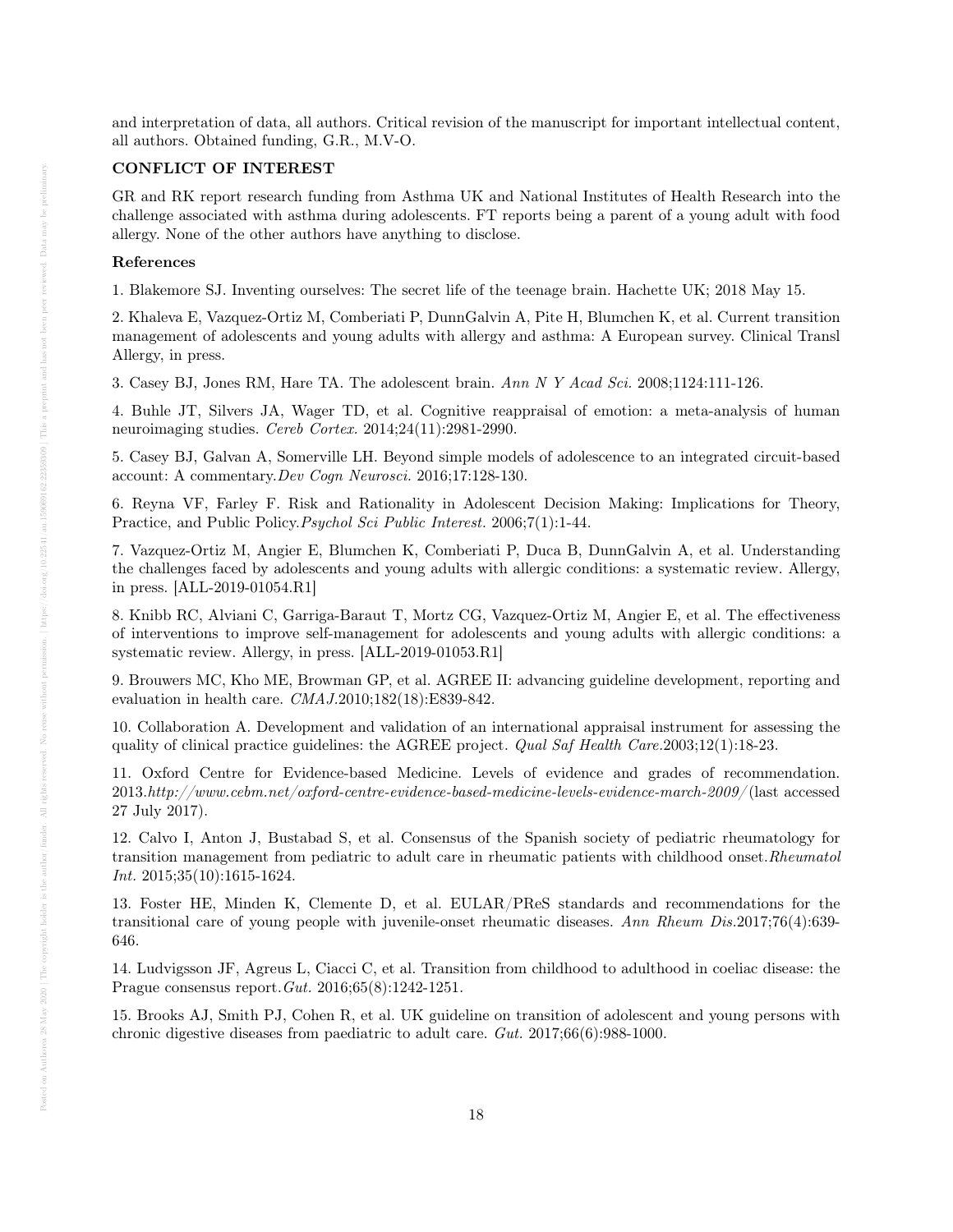and interpretation of data, all authors. Critical revision of the manuscript for important intellectual content, all authors. Obtained funding, G.R., M.V-O.

### CONFLICT OF INTEREST

GR and RK report research funding from Asthma UK and National Institutes of Health Research into the challenge associated with asthma during adolescents. FT reports being a parent of a young adult with food allergy. None of the other authors have anything to disclose.

#### References

1. Blakemore SJ. Inventing ourselves: The secret life of the teenage brain. Hachette UK; 2018 May 15.

2. Khaleva E, Vazquez-Ortiz M, Comberiati P, DunnGalvin A, Pite H, Blumchen K, et al. Current transition management of adolescents and young adults with allergy and asthma: A European survey. Clinical Transl Allergy, in press.

3. Casey BJ, Jones RM, Hare TA. The adolescent brain. Ann N Y Acad Sci. 2008;1124:111-126.

4. Buhle JT, Silvers JA, Wager TD, et al. Cognitive reappraisal of emotion: a meta-analysis of human neuroimaging studies. Cereb Cortex. 2014;24(11):2981-2990.

5. Casey BJ, Galvan A, Somerville LH. Beyond simple models of adolescence to an integrated circuit-based account: A commentary.Dev Cogn Neurosci. 2016;17:128-130.

6. Reyna VF, Farley F. Risk and Rationality in Adolescent Decision Making: Implications for Theory, Practice, and Public Policy.Psychol Sci Public Interest. 2006;7(1):1-44.

7. Vazquez-Ortiz M, Angier E, Blumchen K, Comberiati P, Duca B, DunnGalvin A, et al. Understanding the challenges faced by adolescents and young adults with allergic conditions: a systematic review. Allergy, in press. [ALL-2019-01054.R1]

8. Knibb RC, Alviani C, Garriga-Baraut T, Mortz CG, Vazquez-Ortiz M, Angier E, et al. The effectiveness of interventions to improve self-management for adolescents and young adults with allergic conditions: a systematic review. Allergy, in press. [ALL-2019-01053.R1]

9. Brouwers MC, Kho ME, Browman GP, et al. AGREE II: advancing guideline development, reporting and evaluation in health care. CMAJ.2010;182(18):E839-842.

10. Collaboration A. Development and validation of an international appraisal instrument for assessing the quality of clinical practice guidelines: the AGREE project. *Qual Saf Health Care.*2003;12(1):18-23.

11. Oxford Centre for Evidence-based Medicine. Levels of evidence and grades of recommendation. 2013.http://www.cebm.net/oxford-centre-evidence-based-medicine-levels-evidence-march-2009/ (last accessed 27 July 2017).

12. Calvo I, Anton J, Bustabad S, et al. Consensus of the Spanish society of pediatric rheumatology for transition management from pediatric to adult care in rheumatic patients with childhood onset.Rheumatol Int. 2015;35(10):1615-1624.

13. Foster HE, Minden K, Clemente D, et al. EULAR/PReS standards and recommendations for the transitional care of young people with juvenile-onset rheumatic diseases. Ann Rheum Dis.2017;76(4):639- 646.

14. Ludvigsson JF, Agreus L, Ciacci C, et al. Transition from childhood to adulthood in coeliac disease: the Prague consensus report.Gut. 2016;65(8):1242-1251.

15. Brooks AJ, Smith PJ, Cohen R, et al. UK guideline on transition of adolescent and young persons with chronic digestive diseases from paediatric to adult care. Gut. 2017;66(6):988-1000.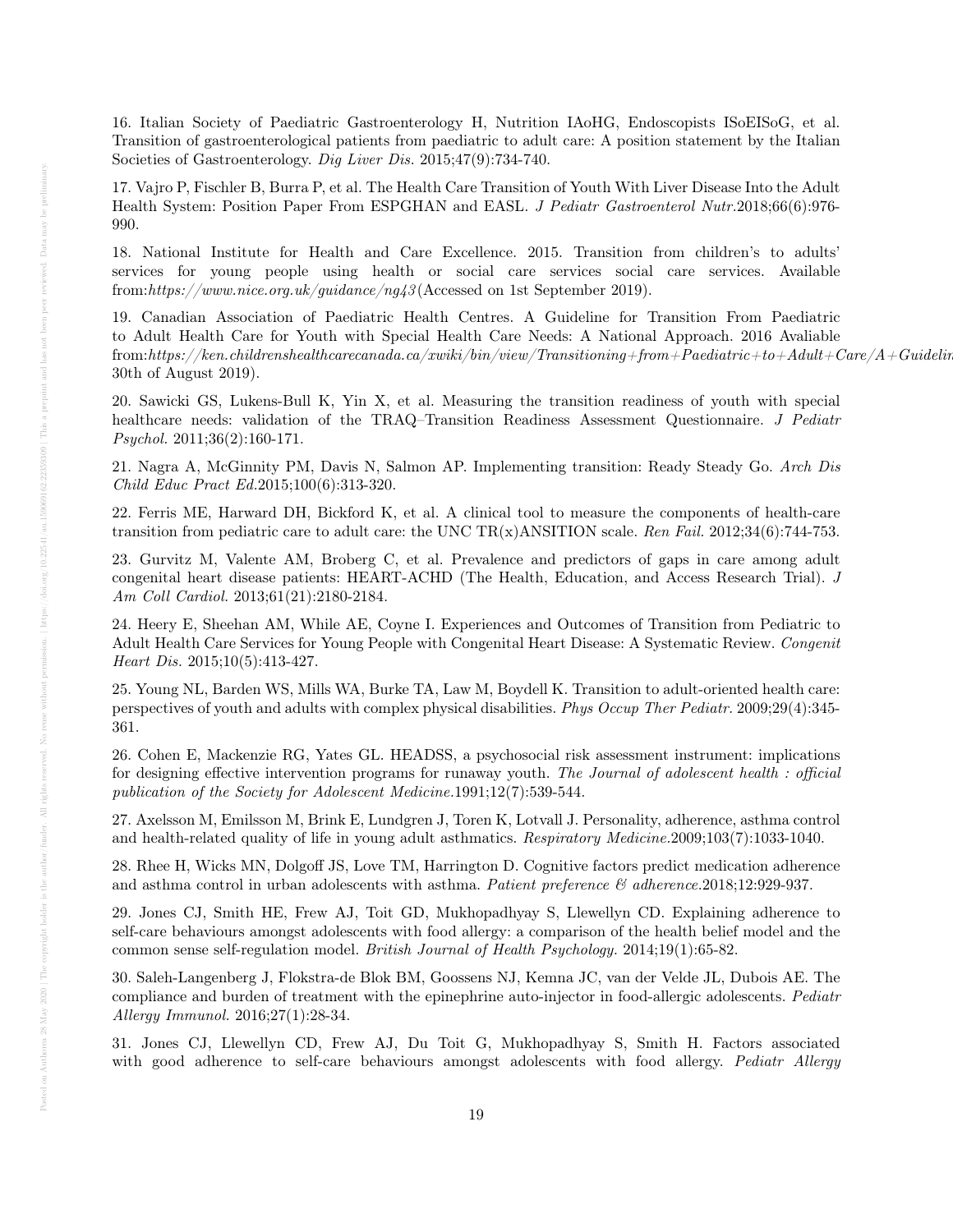16. Italian Society of Paediatric Gastroenterology H, Nutrition IAoHG, Endoscopists ISoEISoG, et al. Transition of gastroenterological patients from paediatric to adult care: A position statement by the Italian Societies of Gastroenterology. Dig Liver Dis. 2015;47(9):734-740.

17. Vajro P, Fischler B, Burra P, et al. The Health Care Transition of Youth With Liver Disease Into the Adult Health System: Position Paper From ESPGHAN and EASL. J Pediatr Gastroenterol Nutr.2018;66(6):976-990.

18. National Institute for Health and Care Excellence. 2015. Transition from children's to adults' services for young people using health or social care services social care services. Available from:https://www.nice.org.uk/guidance/ng43 (Accessed on 1st September 2019).

19. Canadian Association of Paediatric Health Centres. A Guideline for Transition From Paediatric to Adult Health Care for Youth with Special Health Care Needs: A National Approach. 2016 Avaliable from:https://ken.childrenshealthcarecanada.ca/xwiki/bin/view/Transitioning+from+Paediatric+to+Adult+Care/A+Guideline+for+Transition+from+Paediatric+to+Adult+Care (accessed 30th of August 2019).

20. Sawicki GS, Lukens-Bull K, Yin X, et al. Measuring the transition readiness of youth with special healthcare needs: validation of the TRAQ–Transition Readiness Assessment Questionnaire. J Pediatr Psychol. 2011;36(2):160-171.

21. Nagra A, McGinnity PM, Davis N, Salmon AP. Implementing transition: Ready Steady Go. Arch Dis Child Educ Pract Ed.2015;100(6):313-320.

22. Ferris ME, Harward DH, Bickford K, et al. A clinical tool to measure the components of health-care transition from pediatric care to adult care: the UNC TR(x)ANSITION scale. Ren Fail. 2012;34(6):744-753.

23. Gurvitz M, Valente AM, Broberg C, et al. Prevalence and predictors of gaps in care among adult congenital heart disease patients: HEART-ACHD (The Health, Education, and Access Research Trial). J Am Coll Cardiol. 2013;61(21):2180-2184.

24. Heery E, Sheehan AM, While AE, Coyne I. Experiences and Outcomes of Transition from Pediatric to Adult Health Care Services for Young People with Congenital Heart Disease: A Systematic Review. Congenit Heart Dis. 2015;10(5):413-427.

25. Young NL, Barden WS, Mills WA, Burke TA, Law M, Boydell K. Transition to adult-oriented health care: perspectives of youth and adults with complex physical disabilities. Phys Occup Ther Pediatr. 2009;29(4):345- 361.

26. Cohen E, Mackenzie RG, Yates GL. HEADSS, a psychosocial risk assessment instrument: implications for designing effective intervention programs for runaway youth. The Journal of adolescent health : official publication of the Society for Adolescent Medicine.1991;12(7):539-544.

27. Axelsson M, Emilsson M, Brink E, Lundgren J, Toren K, Lotvall J. Personality, adherence, asthma control and health-related quality of life in young adult asthmatics. Respiratory Medicine.2009;103(7):1033-1040.

28. Rhee H, Wicks MN, Dolgoff JS, Love TM, Harrington D. Cognitive factors predict medication adherence and asthma control in urban adolescents with asthma. Patient preference  $\mathcal{B}$  adherence.2018;12:929-937.

29. Jones CJ, Smith HE, Frew AJ, Toit GD, Mukhopadhyay S, Llewellyn CD. Explaining adherence to self-care behaviours amongst adolescents with food allergy: a comparison of the health belief model and the common sense self-regulation model. British Journal of Health Psychology. 2014;19(1):65-82.

30. Saleh-Langenberg J, Flokstra-de Blok BM, Goossens NJ, Kemna JC, van der Velde JL, Dubois AE. The compliance and burden of treatment with the epinephrine auto-injector in food-allergic adolescents. Pediatr Allergy Immunol. 2016;27(1):28-34.

31. Jones CJ, Llewellyn CD, Frew AJ, Du Toit G, Mukhopadhyay S, Smith H. Factors associated with good adherence to self-care behaviours amongst adolescents with food allergy. Pediatr Allergy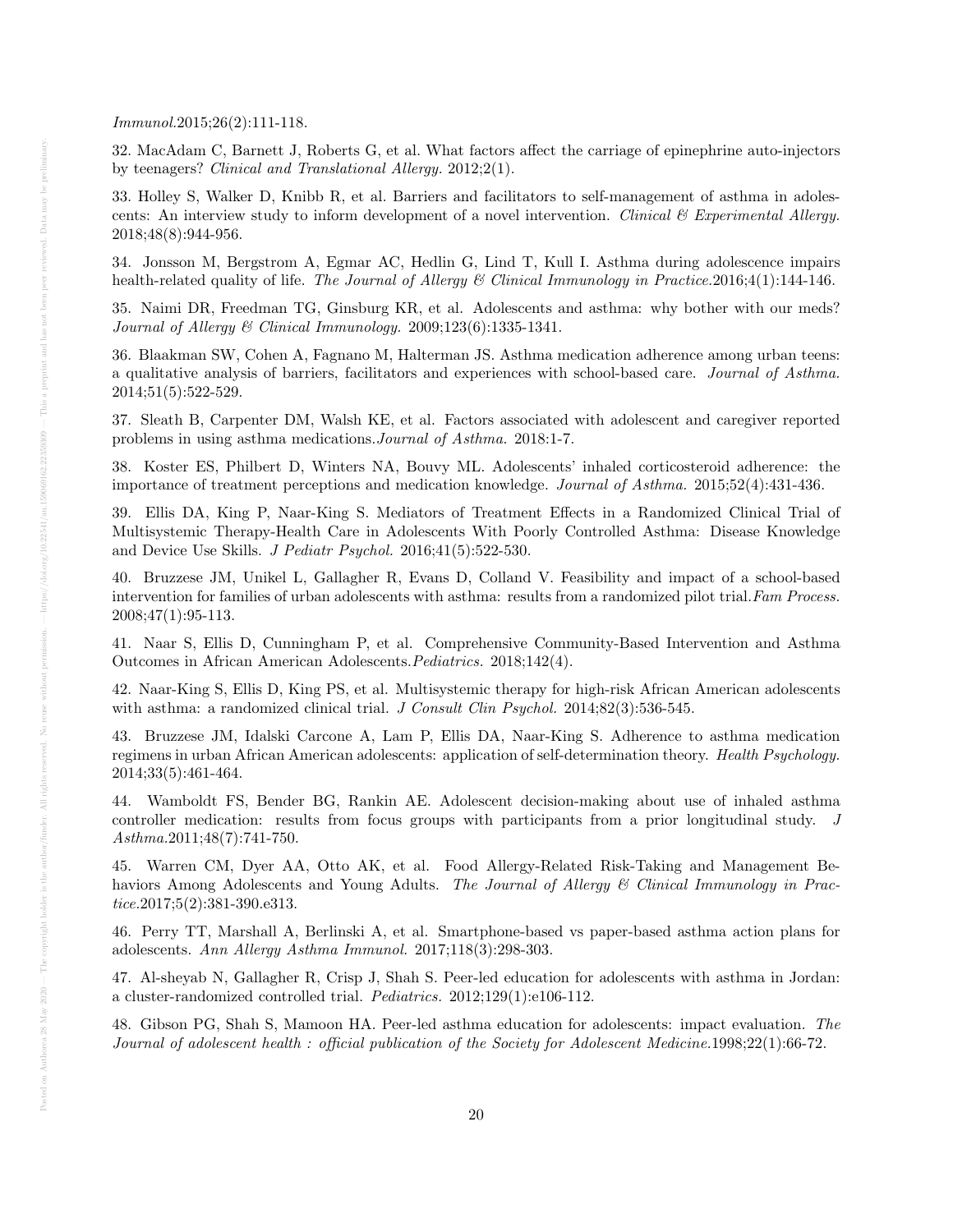Immunol.2015;26(2):111-118.

32. MacAdam C, Barnett J, Roberts G, et al. What factors affect the carriage of epinephrine auto-injectors by teenagers? Clinical and Translational Allergy. 2012;2(1).

33. Holley S, Walker D, Knibb R, et al. Barriers and facilitators to self-management of asthma in adolescents: An interview study to inform development of a novel intervention. Clinical  $\mathcal C$  Experimental Allergy. 2018;48(8):944-956.

34. Jonsson M, Bergstrom A, Egmar AC, Hedlin G, Lind T, Kull I. Asthma during adolescence impairs health-related quality of life. The Journal of Allergy & Clinical Immunology in Practice.2016;4(1):144-146.

35. Naimi DR, Freedman TG, Ginsburg KR, et al. Adolescents and asthma: why bother with our meds? Journal of Allergy & Clinical Immunology. 2009;123(6):1335-1341.

36. Blaakman SW, Cohen A, Fagnano M, Halterman JS. Asthma medication adherence among urban teens: a qualitative analysis of barriers, facilitators and experiences with school-based care. Journal of Asthma. 2014;51(5):522-529.

37. Sleath B, Carpenter DM, Walsh KE, et al. Factors associated with adolescent and caregiver reported problems in using asthma medications.Journal of Asthma. 2018:1-7.

38. Koster ES, Philbert D, Winters NA, Bouvy ML. Adolescents' inhaled corticosteroid adherence: the importance of treatment perceptions and medication knowledge. Journal of Asthma. 2015;52(4):431-436.

39. Ellis DA, King P, Naar-King S. Mediators of Treatment Effects in a Randomized Clinical Trial of Multisystemic Therapy-Health Care in Adolescents With Poorly Controlled Asthma: Disease Knowledge and Device Use Skills. J Pediatr Psychol. 2016;41(5):522-530.

40. Bruzzese JM, Unikel L, Gallagher R, Evans D, Colland V. Feasibility and impact of a school-based intervention for families of urban adolescents with asthma: results from a randomized pilot trial. Fam Process. 2008;47(1):95-113.

41. Naar S, Ellis D, Cunningham P, et al. Comprehensive Community-Based Intervention and Asthma Outcomes in African American Adolescents.Pediatrics. 2018;142(4).

42. Naar-King S, Ellis D, King PS, et al. Multisystemic therapy for high-risk African American adolescents with asthma: a randomized clinical trial. J Consult Clin Psychol. 2014;82(3):536-545.

43. Bruzzese JM, Idalski Carcone A, Lam P, Ellis DA, Naar-King S. Adherence to asthma medication regimens in urban African American adolescents: application of self-determination theory. Health Psychology. 2014;33(5):461-464.

44. Wamboldt FS, Bender BG, Rankin AE. Adolescent decision-making about use of inhaled asthma controller medication: results from focus groups with participants from a prior longitudinal study. J Asthma.2011;48(7):741-750.

45. Warren CM, Dyer AA, Otto AK, et al. Food Allergy-Related Risk-Taking and Management Behaviors Among Adolescents and Young Adults. The Journal of Allergy & Clinical Immunology in Practice.2017;5(2):381-390.e313.

46. Perry TT, Marshall A, Berlinski A, et al. Smartphone-based vs paper-based asthma action plans for adolescents. Ann Allergy Asthma Immunol. 2017;118(3):298-303.

47. Al-sheyab N, Gallagher R, Crisp J, Shah S. Peer-led education for adolescents with asthma in Jordan: a cluster-randomized controlled trial. Pediatrics. 2012;129(1):e106-112.

48. Gibson PG, Shah S, Mamoon HA. Peer-led asthma education for adolescents: impact evaluation. The Journal of adolescent health : official publication of the Society for Adolescent Medicine.1998;22(1):66-72.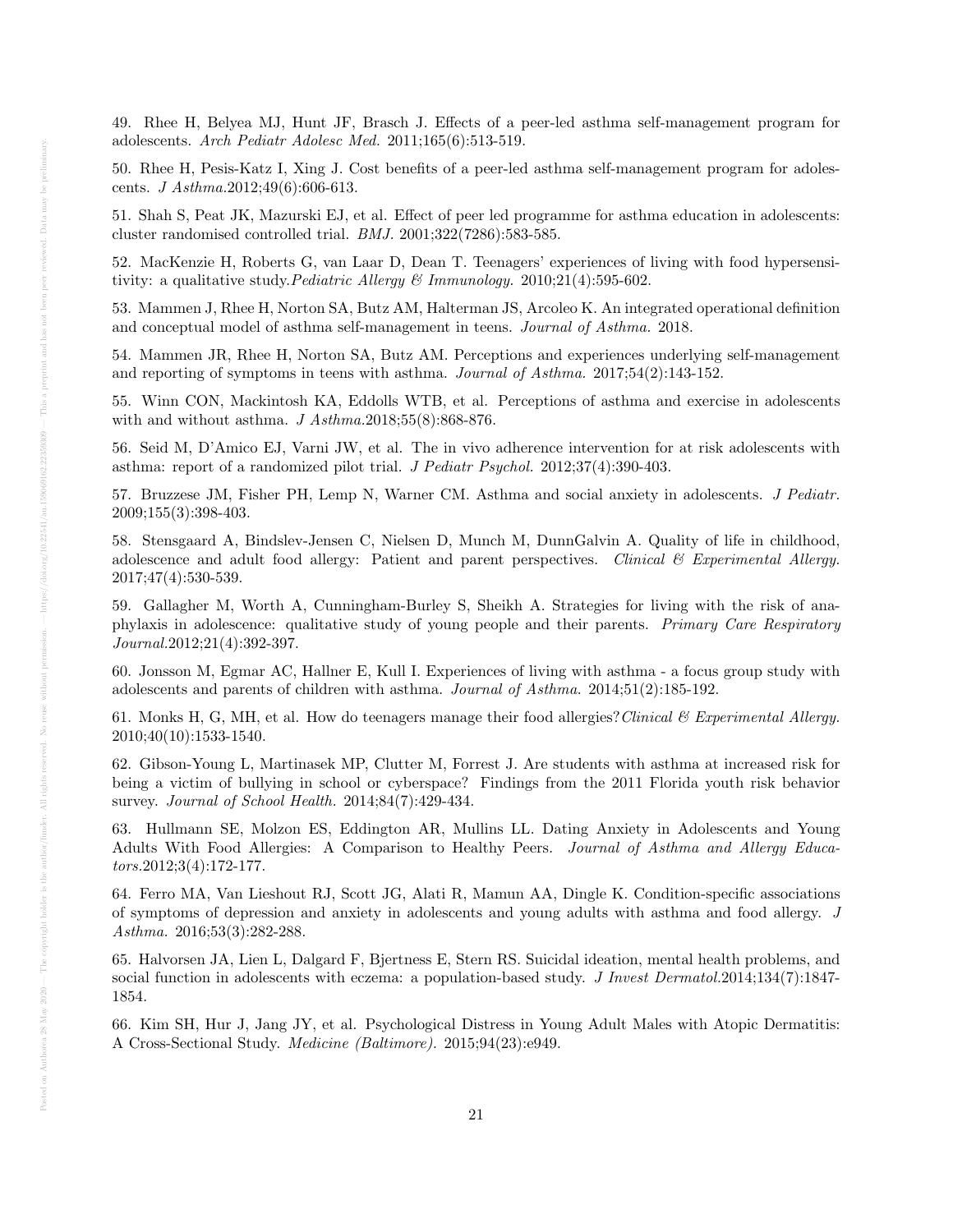49. Rhee H, Belyea MJ, Hunt JF, Brasch J. Effects of a peer-led asthma self-management program for adolescents. Arch Pediatr Adolesc Med. 2011;165(6):513-519.

50. Rhee H, Pesis-Katz I, Xing J. Cost benefits of a peer-led asthma self-management program for adolescents. J Asthma.2012;49(6):606-613.

51. Shah S, Peat JK, Mazurski EJ, et al. Effect of peer led programme for asthma education in adolescents: cluster randomised controlled trial. BMJ. 2001;322(7286):583-585.

52. MacKenzie H, Roberts G, van Laar D, Dean T. Teenagers' experiences of living with food hypersensitivity: a qualitative study. Pediatric Allergy & Immunology. 2010;21(4):595-602.

53. Mammen J, Rhee H, Norton SA, Butz AM, Halterman JS, Arcoleo K. An integrated operational definition and conceptual model of asthma self-management in teens. Journal of Asthma. 2018.

54. Mammen JR, Rhee H, Norton SA, Butz AM. Perceptions and experiences underlying self-management and reporting of symptoms in teens with asthma. Journal of Asthma. 2017;54(2):143-152.

55. Winn CON, Mackintosh KA, Eddolls WTB, et al. Perceptions of asthma and exercise in adolescents with and without asthma.  $J \text{ } Asthma.2018;55(8):868-876.$ 

56. Seid M, D'Amico EJ, Varni JW, et al. The in vivo adherence intervention for at risk adolescents with asthma: report of a randomized pilot trial. J Pediatr Psychol. 2012;37(4):390-403.

57. Bruzzese JM, Fisher PH, Lemp N, Warner CM. Asthma and social anxiety in adolescents. J Pediatr. 2009;155(3):398-403.

58. Stensgaard A, Bindslev-Jensen C, Nielsen D, Munch M, DunnGalvin A. Quality of life in childhood, adolescence and adult food allergy: Patient and parent perspectives. Clinical & Experimental Allergy. 2017;47(4):530-539.

59. Gallagher M, Worth A, Cunningham-Burley S, Sheikh A. Strategies for living with the risk of anaphylaxis in adolescence: qualitative study of young people and their parents. Primary Care Respiratory Journal.2012;21(4):392-397.

60. Jonsson M, Egmar AC, Hallner E, Kull I. Experiences of living with asthma - a focus group study with adolescents and parents of children with asthma. Journal of Asthma. 2014;51(2):185-192.

61. Monks H, G, MH, et al. How do teenagers manage their food allergies? Clinical  $\mathcal C$  Experimental Allergy. 2010;40(10):1533-1540.

62. Gibson-Young L, Martinasek MP, Clutter M, Forrest J. Are students with asthma at increased risk for being a victim of bullying in school or cyberspace? Findings from the 2011 Florida youth risk behavior survey. Journal of School Health. 2014;84(7):429-434.

63. Hullmann SE, Molzon ES, Eddington AR, Mullins LL. Dating Anxiety in Adolescents and Young Adults With Food Allergies: A Comparison to Healthy Peers. Journal of Asthma and Allergy Educators.2012;3(4):172-177.

64. Ferro MA, Van Lieshout RJ, Scott JG, Alati R, Mamun AA, Dingle K. Condition-specific associations of symptoms of depression and anxiety in adolescents and young adults with asthma and food allergy. J Asthma. 2016;53(3):282-288.

65. Halvorsen JA, Lien L, Dalgard F, Bjertness E, Stern RS. Suicidal ideation, mental health problems, and social function in adolescents with eczema: a population-based study. J Invest Dermatol.2014;134(7):1847-1854.

66. Kim SH, Hur J, Jang JY, et al. Psychological Distress in Young Adult Males with Atopic Dermatitis: A Cross-Sectional Study. Medicine (Baltimore). 2015;94(23):e949.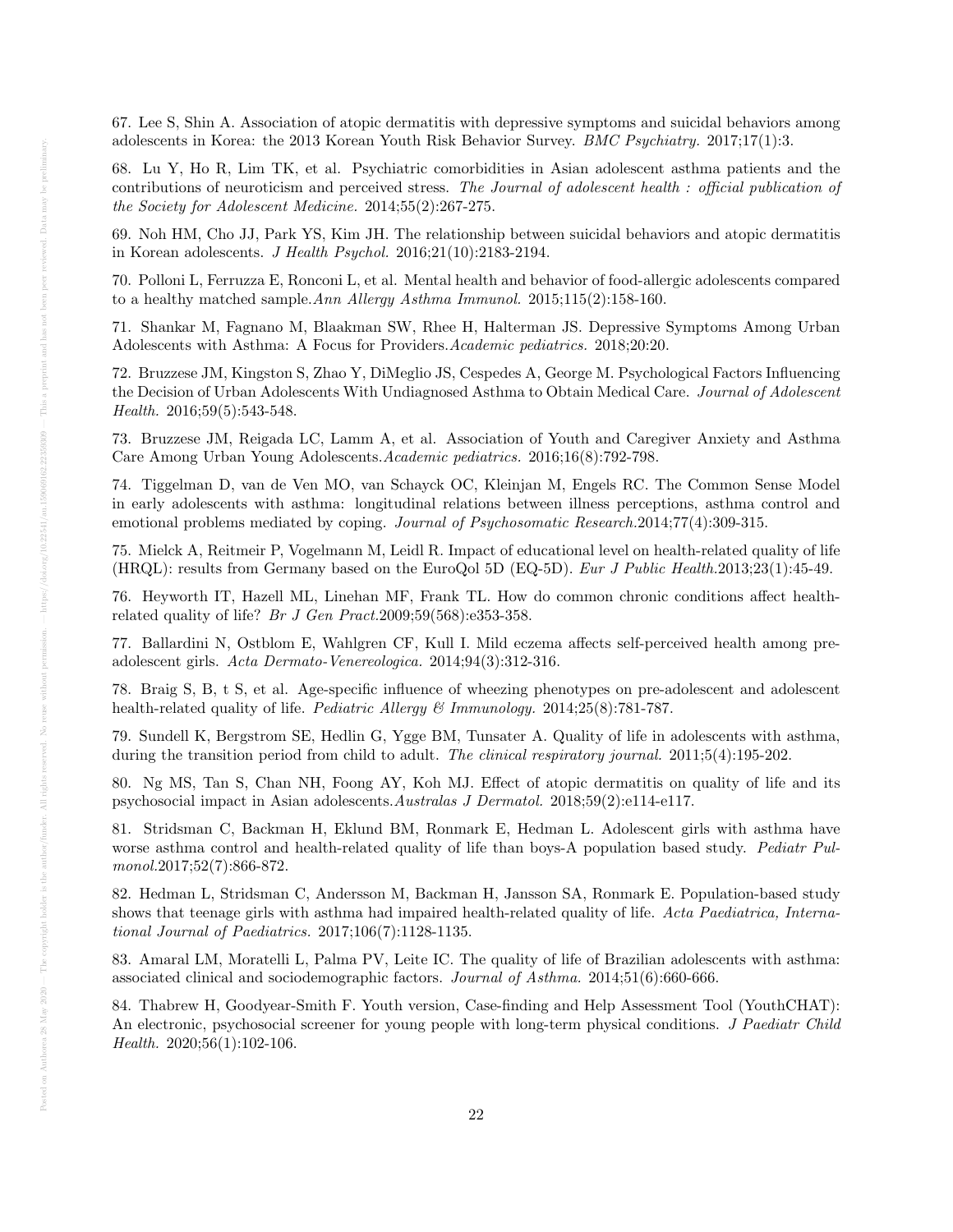67. Lee S, Shin A. Association of atopic dermatitis with depressive symptoms and suicidal behaviors among adolescents in Korea: the 2013 Korean Youth Risk Behavior Survey. BMC Psychiatry. 2017;17(1):3.

68. Lu Y, Ho R, Lim TK, et al. Psychiatric comorbidities in Asian adolescent asthma patients and the contributions of neuroticism and perceived stress. The Journal of adolescent health : official publication of the Society for Adolescent Medicine. 2014;55(2):267-275.

69. Noh HM, Cho JJ, Park YS, Kim JH. The relationship between suicidal behaviors and atopic dermatitis in Korean adolescents. J Health Psychol. 2016;21(10):2183-2194.

70. Polloni L, Ferruzza E, Ronconi L, et al. Mental health and behavior of food-allergic adolescents compared to a healthy matched sample.Ann Allergy Asthma Immunol. 2015;115(2):158-160.

71. Shankar M, Fagnano M, Blaakman SW, Rhee H, Halterman JS. Depressive Symptoms Among Urban Adolescents with Asthma: A Focus for Providers.Academic pediatrics. 2018;20:20.

72. Bruzzese JM, Kingston S, Zhao Y, DiMeglio JS, Cespedes A, George M. Psychological Factors Influencing the Decision of Urban Adolescents With Undiagnosed Asthma to Obtain Medical Care. Journal of Adolescent Health. 2016;59(5):543-548.

73. Bruzzese JM, Reigada LC, Lamm A, et al. Association of Youth and Caregiver Anxiety and Asthma Care Among Urban Young Adolescents.Academic pediatrics. 2016;16(8):792-798.

74. Tiggelman D, van de Ven MO, van Schayck OC, Kleinjan M, Engels RC. The Common Sense Model in early adolescents with asthma: longitudinal relations between illness perceptions, asthma control and emotional problems mediated by coping. Journal of Psychosomatic Research.2014;77(4):309-315.

75. Mielck A, Reitmeir P, Vogelmann M, Leidl R. Impact of educational level on health-related quality of life (HRQL): results from Germany based on the EuroQol 5D (EQ-5D). Eur J Public Health.2013;23(1):45-49.

76. Heyworth IT, Hazell ML, Linehan MF, Frank TL. How do common chronic conditions affect healthrelated quality of life? Br J Gen Pract.2009;59(568):e353-358.

77. Ballardini N, Ostblom E, Wahlgren CF, Kull I. Mild eczema affects self-perceived health among preadolescent girls. Acta Dermato-Venereologica. 2014;94(3):312-316.

78. Braig S, B, t S, et al. Age-specific influence of wheezing phenotypes on pre-adolescent and adolescent health-related quality of life. Pediatric Allergy & Immunology. 2014;25(8):781-787.

79. Sundell K, Bergstrom SE, Hedlin G, Ygge BM, Tunsater A. Quality of life in adolescents with asthma, during the transition period from child to adult. The clinical respiratory journal. 2011;5(4):195-202.

80. Ng MS, Tan S, Chan NH, Foong AY, Koh MJ. Effect of atopic dermatitis on quality of life and its psychosocial impact in Asian adolescents.Australas J Dermatol. 2018;59(2):e114-e117.

81. Stridsman C, Backman H, Eklund BM, Ronmark E, Hedman L. Adolescent girls with asthma have worse asthma control and health-related quality of life than boys-A population based study. Pediatr Pulmonol.2017;52(7):866-872.

82. Hedman L, Stridsman C, Andersson M, Backman H, Jansson SA, Ronmark E. Population-based study shows that teenage girls with asthma had impaired health-related quality of life. Acta Paediatrica, International Journal of Paediatrics. 2017;106(7):1128-1135.

83. Amaral LM, Moratelli L, Palma PV, Leite IC. The quality of life of Brazilian adolescents with asthma: associated clinical and sociodemographic factors. Journal of Asthma. 2014;51(6):660-666.

84. Thabrew H, Goodyear-Smith F. Youth version, Case-finding and Help Assessment Tool (YouthCHAT): An electronic, psychosocial screener for young people with long-term physical conditions. J Paediatr Child Health. 2020;56(1):102-106.